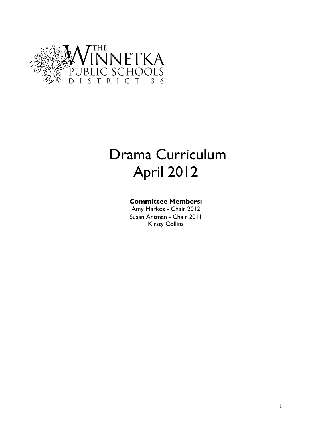

# Drama Curriculum April 2012

### **Committee Members:**

Amy Markos - Chair 2012 Susan Antman - Chair 2011 Kirsty Collins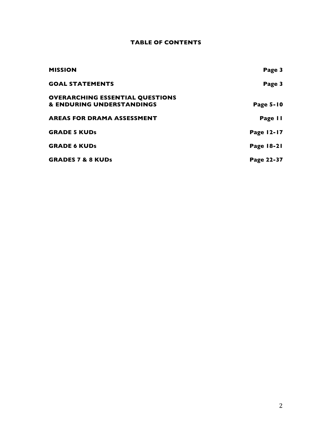#### **TABLE OF CONTENTS**

| <b>MISSION</b>                         | Page 3     |
|----------------------------------------|------------|
| <b>GOAL STATEMENTS</b>                 | Page 3     |
| <b>OVERARCHING ESSENTIAL QUESTIONS</b> |            |
| & ENDURING UNDERSTANDINGS              | Page 5-10  |
| <b>AREAS FOR DRAMA ASSESSMENT</b>      | Page II    |
| <b>GRADE 5 KUDS</b>                    | Page 12-17 |
| <b>GRADE 6 KUDS</b>                    | Page 18-21 |
| <b>GRADES 7 &amp; 8 KUDs</b>           | Page 22-37 |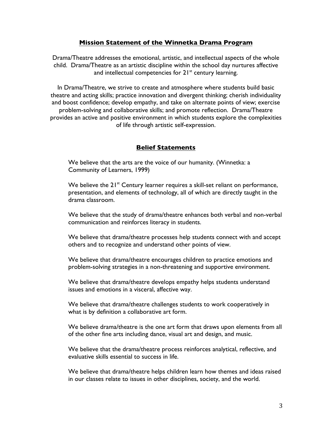#### **Mission Statement of the Winnetka Drama Program**

Drama/Theatre addresses the emotional, artistic, and intellectual aspects of the whole child. Drama/Theatre as an artistic discipline within the school day nurtures affective and intellectual competencies for  $21^{st}$  century learning.

In Drama/Theatre, we strive to create and atmosphere where students build basic theatre and acting skills; practice innovation and divergent thinking; cherish individuality and boost confidence; develop empathy, and take on alternate points of view; exercise problem-solving and collaborative skills; and promote reflection. Drama/Theatre provides an active and positive environment in which students explore the complexities of life through artistic self-expression.

#### **Belief Statements**

We believe that the arts are the voice of our humanity. (Winnetka: a Community of Learners, 1999)

We believe the  $21^{st}$  Century learner requires a skill-set reliant on performance, presentation, and elements of technology, all of which are directly taught in the drama classroom.

We believe that the study of drama/theatre enhances both verbal and non-verbal communication and reinforces literacy in students.

We believe that drama/theatre processes help students connect with and accept others and to recognize and understand other points of view.

We believe that drama/theatre encourages children to practice emotions and problem-solving strategies in a non-threatening and supportive environment.

We believe that drama/theatre develops empathy helps students understand issues and emotions in a visceral, affective way.

We believe that drama/theatre challenges students to work cooperatively in what is by definition a collaborative art form.

We believe drama/theatre is the one art form that draws upon elements from all of the other fine arts including dance, visual art and design, and music.

We believe that the drama/theatre process reinforces analytical, reflective, and evaluative skills essential to success in life.

We believe that drama/theatre helps children learn how themes and ideas raised in our classes relate to issues in other disciplines, society, and the world.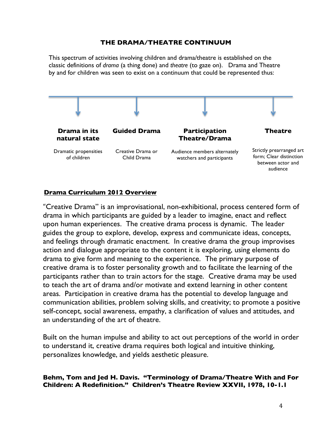#### **THE DRAMA/THEATRE CONTINUUM**

This spectrum of activities involving children and drama/theatre is established on the classic definitions of *drama* (a thing done) and *theatre* (to gaze on). Drama and Theatre by and for children was seen to exist on a continuum that could be represented thus:



#### **Drama Curriculum 2012 Overview**

"Creative Drama" is an improvisational, non-exhibitional, process centered form of drama in which participants are guided by a leader to imagine, enact and reflect upon human experiences. The creative drama process is dynamic. The leader guides the group to explore, develop, express and communicate ideas, concepts, and feelings through dramatic enactment. In creative drama the group improvises action and dialogue appropriate to the content it is exploring, using elements do drama to give form and meaning to the experience. The primary purpose of creative drama is to foster personality growth and to facilitate the learning of the participants rather than to train actors for the stage. Creative drama may be used to teach the art of drama and/or motivate and extend learning in other content areas. Participation in creative drama has the potential to develop language and communication abilities, problem solving skills, and creativity; to promote a positive self-concept, social awareness, empathy, a clarification of values and attitudes, and an understanding of the art of theatre.

Built on the human impulse and ability to act out perceptions of the world in order to understand it, creative drama requires both logical and intuitive thinking, personalizes knowledge, and yields aesthetic pleasure.

#### **Behm, Tom and Jed H. Davis. "Terminology of Drama/Theatre With and For Children: A Redefinition." Children's Theatre Review XXVII, 1978, 10-1.1**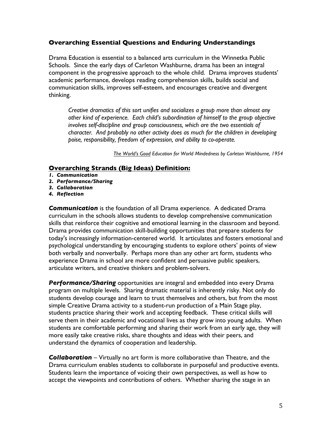Drama Education is essential to a balanced arts curriculum in the Winnetka Public Schools. Since the early days of Carleton Washburne, drama has been an integral component in the progressive approach to the whole child. Drama improves students' academic performance, develops reading comprehension skills, builds social and communication skills, improves self-esteem, and encourages creative and divergent thinking.

*Creative dramatics of this sort unifies and socializes a group more than almost any other kind of experience. Each child's subordination of himself to the group objective involves self-discipline and group consciousness, which are the two essentials of character. And probably no other activity does as much for the children in developing poise, responsibility, freedom of expression, and ability to co-operate.*

*The World's Good Education for World Mindedness by Carleton Washburne, 1954*

#### **Overarching Strands (Big Ideas) Definition:**

- *1. Communication*
- *2. Performance/Sharing*
- *3. Collaboration*
- *4. Reflection*

*Communication* is the foundation of all Drama experience. A dedicated Drama curriculum in the schools allows students to develop comprehensive communication skills that reinforce their cognitive and emotional learning in the classroom and beyond. Drama provides communication skill-building opportunities that prepare students for today's increasingly information-centered world. It articulates and fosters emotional and psychological understanding by encouraging students to explore others' points of view both verbally and nonverbally. Perhaps more than any other art form, students who experience Drama in school are more confident and persuasive public speakers, articulate writers, and creative thinkers and problem-solvers.

*Performance/Sharing* opportunities are integral and embedded into every Drama program on multiple levels. Sharing dramatic material is inherently risky. Not only do students develop courage and learn to trust themselves and others, but from the most simple Creative Drama activity to a student-run production of a Main Stage play, students practice sharing their work and accepting feedback. These critical skills will serve them in their academic and vocational lives as they grow into young adults. When students are comfortable performing and sharing their work from an early age, they will more easily take creative risks, share thoughts and ideas with their peers, and understand the dynamics of cooperation and leadership.

*Collaboration* – Virtually no art form is more collaborative than Theatre, and the Drama curriculum enables students to collaborate in purposeful and productive events. Students learn the importance of voicing their own perspectives, as well as how to accept the viewpoints and contributions of others. Whether sharing the stage in an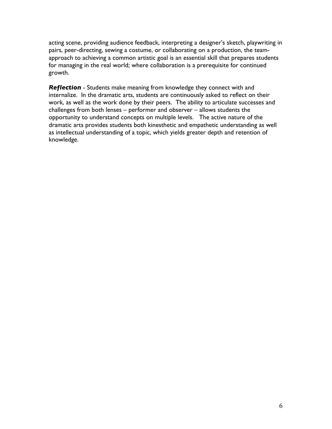acting scene, providing audience feedback, interpreting a designer's sketch, playwriting in pairs, peer-directing, sewing a costume, or collaborating on a production, the teamapproach to achieving a common artistic goal is an essential skill that prepares students for managing in the real world; where collaboration is a prerequisite for continued growth.

*Reflection* - Students make meaning from knowledge they connect with and internalize. In the dramatic arts, students are continuously asked to reflect on their work, as well as the work done by their peers. The ability to articulate successes and challenges from both lenses – performer and observer – allows students the opportunity to understand concepts on multiple levels. The active nature of the dramatic arts provides students both kinesthetic and empathetic understanding as well as intellectual understanding of a topic, which yields greater depth and retention of knowledge.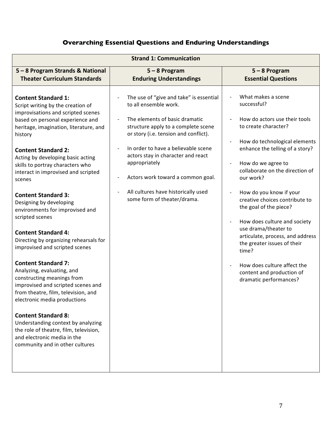| 5 - 8 Program Strands & National<br>$5 - 8$ Program<br>$5 - 8$ Program<br><b>Theater Curriculum Standards</b><br><b>Enduring Understandings</b><br><b>Essential Questions</b><br>What makes a scene<br>The use of "give and take" is essential<br><b>Content Standard 1:</b><br>successful?<br>to all ensemble work.<br>Script writing by the creation of<br>improvisations and scripted scenes<br>The elements of basic dramatic<br>How do actors use their tools<br>based on personal experience and<br>to create character?<br>structure apply to a complete scene<br>heritage, imagination, literature, and<br>or story (i.e. tension and conflict).<br>history<br>How do technological elements<br>In order to have a believable scene<br>enhance the telling of a story?<br><b>Content Standard 2:</b><br>actors stay in character and react<br>Acting by developing basic acting<br>appropriately<br>How do we agree to<br>$\qquad \qquad \blacksquare$<br>skills to portray characters who<br>collaborate on the direction of<br>interact in improvised and scripted<br>Actors work toward a common goal.<br>our work?<br>scenes<br>All cultures have historically used<br>How do you know if your<br><b>Content Standard 3:</b><br>some form of theater/drama.<br>creative choices contribute to<br>Designing by developing<br>the goal of the piece?<br>environments for improvised and<br>scripted scenes<br>How does culture and society<br>$\qquad \qquad \blacksquare$<br>use drama/theater to<br><b>Content Standard 4:</b><br>articulate, process, and address<br>Directing by organizing rehearsals for<br>the greater issues of their<br>improvised and scripted scenes<br>time?<br><b>Content Standard 7:</b><br>How does culture affect the<br>Analyzing, evaluating, and<br>content and production of<br>constructing meanings from<br>dramatic performances?<br>improvised and scripted scenes and<br>from theatre, film, television, and<br>electronic media productions<br><b>Content Standard 8:</b><br>Understanding context by analyzing<br>the role of theatre, film, television,<br>and electronic media in the<br>community and in other cultures |
|---------------------------------------------------------------------------------------------------------------------------------------------------------------------------------------------------------------------------------------------------------------------------------------------------------------------------------------------------------------------------------------------------------------------------------------------------------------------------------------------------------------------------------------------------------------------------------------------------------------------------------------------------------------------------------------------------------------------------------------------------------------------------------------------------------------------------------------------------------------------------------------------------------------------------------------------------------------------------------------------------------------------------------------------------------------------------------------------------------------------------------------------------------------------------------------------------------------------------------------------------------------------------------------------------------------------------------------------------------------------------------------------------------------------------------------------------------------------------------------------------------------------------------------------------------------------------------------------------------------------------------------------------------------------------------------------------------------------------------------------------------------------------------------------------------------------------------------------------------------------------------------------------------------------------------------------------------------------------------------------------------------------------------------------------------------------------------------------------------------------------------------------------------------------------------|
|                                                                                                                                                                                                                                                                                                                                                                                                                                                                                                                                                                                                                                                                                                                                                                                                                                                                                                                                                                                                                                                                                                                                                                                                                                                                                                                                                                                                                                                                                                                                                                                                                                                                                                                                                                                                                                                                                                                                                                                                                                                                                                                                                                                 |
|                                                                                                                                                                                                                                                                                                                                                                                                                                                                                                                                                                                                                                                                                                                                                                                                                                                                                                                                                                                                                                                                                                                                                                                                                                                                                                                                                                                                                                                                                                                                                                                                                                                                                                                                                                                                                                                                                                                                                                                                                                                                                                                                                                                 |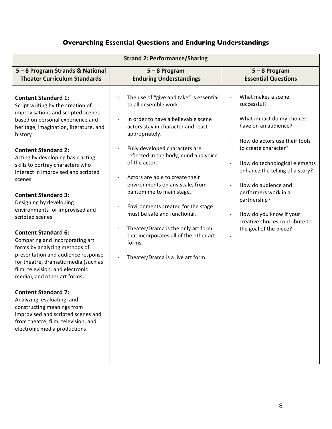| <b>Strand 2: Performance/Sharing</b>                                                                                                                                                                                                                                                                                                                                                                                                                                                                                                                                                                                                                                                                                                                                                                                                                                                                                             |                                                                                                                                                                                                                                                                                                                                                                                                                                                                                                                                                                    |                                                                                                                                                                                                                                                                                                                                                                                                           |  |
|----------------------------------------------------------------------------------------------------------------------------------------------------------------------------------------------------------------------------------------------------------------------------------------------------------------------------------------------------------------------------------------------------------------------------------------------------------------------------------------------------------------------------------------------------------------------------------------------------------------------------------------------------------------------------------------------------------------------------------------------------------------------------------------------------------------------------------------------------------------------------------------------------------------------------------|--------------------------------------------------------------------------------------------------------------------------------------------------------------------------------------------------------------------------------------------------------------------------------------------------------------------------------------------------------------------------------------------------------------------------------------------------------------------------------------------------------------------------------------------------------------------|-----------------------------------------------------------------------------------------------------------------------------------------------------------------------------------------------------------------------------------------------------------------------------------------------------------------------------------------------------------------------------------------------------------|--|
| 5 - 8 Program Strands & National<br><b>Theater Curriculum Standards</b>                                                                                                                                                                                                                                                                                                                                                                                                                                                                                                                                                                                                                                                                                                                                                                                                                                                          | $5 - 8$ Program<br><b>Enduring Understandings</b>                                                                                                                                                                                                                                                                                                                                                                                                                                                                                                                  | $5 - 8$ Program<br><b>Essential Questions</b>                                                                                                                                                                                                                                                                                                                                                             |  |
| <b>Content Standard 1:</b><br>Script writing by the creation of<br>improvisations and scripted scenes<br>based on personal experience and<br>heritage, imagination, literature, and<br>history<br><b>Content Standard 2:</b><br>Acting by developing basic acting<br>skills to portray characters who<br>interact in improvised and scripted<br>scenes<br><b>Content Standard 3:</b><br>Designing by developing<br>environments for improvised and<br>scripted scenes<br><b>Content Standard 6:</b><br>Comparing and incorporating art<br>forms by analyzing methods of<br>presentation and audience response<br>for theatre, dramatic media (such as<br>film, television, and electronic<br>media), and other art forms.<br><b>Content Standard 7:</b><br>Analyzing, evaluating, and<br>constructing meanings from<br>improvised and scripted scenes and<br>from theatre, film, television, and<br>electronic media productions | The use of "give and take" is essential<br>to all ensemble work.<br>In order to have a believable scene<br>actors stay in character and react<br>appropriately.<br>Fully developed characters are<br>reflected in the body, mind and voice<br>of the actor.<br>Actors are able to create their<br>environments on any scale, from<br>pantomime to main stage.<br>Environments created for the stage<br>must be safe and functional.<br>Theater/Drama is the only art form<br>that incorporates all of the other art<br>forms.<br>Theater/Drama is a live art form. | What makes a scene<br>successful?<br>What impact do my choices<br>have on an audience?<br>How do actors use their tools<br>to create character?<br>How do technological elements<br>$\qquad \qquad \blacksquare$<br>enhance the telling of a story?<br>How do audience and<br>performers work in a<br>partnership?<br>How do you know if your<br>creative choices contribute to<br>the goal of the piece? |  |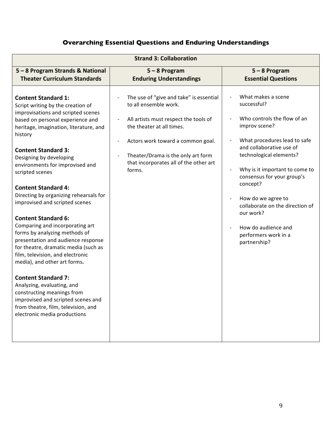| <b>Strand 3: Collaboration</b>                                                                                                                                                                                                                                                                                                                                                                                                                                                                                                                                                                                                                                                                                                                                                                                                                                                     |                                                                                                                                                                                                                                                                       |                                                                                                                                                                                                                                                                                                                                                                                                                       |  |  |
|------------------------------------------------------------------------------------------------------------------------------------------------------------------------------------------------------------------------------------------------------------------------------------------------------------------------------------------------------------------------------------------------------------------------------------------------------------------------------------------------------------------------------------------------------------------------------------------------------------------------------------------------------------------------------------------------------------------------------------------------------------------------------------------------------------------------------------------------------------------------------------|-----------------------------------------------------------------------------------------------------------------------------------------------------------------------------------------------------------------------------------------------------------------------|-----------------------------------------------------------------------------------------------------------------------------------------------------------------------------------------------------------------------------------------------------------------------------------------------------------------------------------------------------------------------------------------------------------------------|--|--|
| 5 - 8 Program Strands & National<br><b>Theater Curriculum Standards</b>                                                                                                                                                                                                                                                                                                                                                                                                                                                                                                                                                                                                                                                                                                                                                                                                            | $5 - 8$ Program<br><b>Enduring Understandings</b>                                                                                                                                                                                                                     | $5 - 8$ Program<br><b>Essential Questions</b>                                                                                                                                                                                                                                                                                                                                                                         |  |  |
| <b>Content Standard 1:</b><br>Script writing by the creation of<br>improvisations and scripted scenes<br>based on personal experience and<br>heritage, imagination, literature, and<br>history<br><b>Content Standard 3:</b><br>Designing by developing<br>environments for improvised and<br>scripted scenes<br><b>Content Standard 4:</b><br>Directing by organizing rehearsals for<br>improvised and scripted scenes<br><b>Content Standard 6:</b><br>Comparing and incorporating art<br>forms by analyzing methods of<br>presentation and audience response<br>for theatre, dramatic media (such as<br>film, television, and electronic<br>media), and other art forms.<br><b>Content Standard 7:</b><br>Analyzing, evaluating, and<br>constructing meanings from<br>improvised and scripted scenes and<br>from theatre, film, television, and<br>electronic media productions | The use of "give and take" is essential<br>to all ensemble work.<br>All artists must respect the tools of<br>the theater at all times.<br>Actors work toward a common goal.<br>Theater/Drama is the only art form<br>that incorporates all of the other art<br>forms. | What makes a scene<br>successful?<br>Who controls the flow of an<br>improv scene?<br>What procedures lead to safe<br>and collaborative use of<br>technological elements?<br>Why is it important to come to<br>consensus for your group's<br>concept?<br>How do we agree to<br>$\overline{\phantom{a}}$<br>collaborate on the direction of<br>our work?<br>How do audience and<br>performers work in a<br>partnership? |  |  |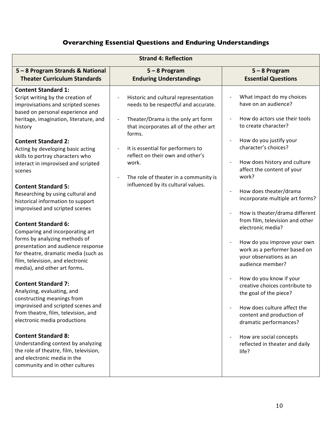| <b>Strand 4: Reflection</b>                                                                                                                                                                                                                                                                                                                                                                                                                                                                                                                                                                                                                                                                                                                                                                                                                                                                                                                                                                                                                                                                                                                 |                                                                                                                                                                                                                                                                                                                                         |                                                                                                                                                                                                                                                                                                                                                                                                                                                                                                                                                                                                                                                                                                                                                              |  |  |
|---------------------------------------------------------------------------------------------------------------------------------------------------------------------------------------------------------------------------------------------------------------------------------------------------------------------------------------------------------------------------------------------------------------------------------------------------------------------------------------------------------------------------------------------------------------------------------------------------------------------------------------------------------------------------------------------------------------------------------------------------------------------------------------------------------------------------------------------------------------------------------------------------------------------------------------------------------------------------------------------------------------------------------------------------------------------------------------------------------------------------------------------|-----------------------------------------------------------------------------------------------------------------------------------------------------------------------------------------------------------------------------------------------------------------------------------------------------------------------------------------|--------------------------------------------------------------------------------------------------------------------------------------------------------------------------------------------------------------------------------------------------------------------------------------------------------------------------------------------------------------------------------------------------------------------------------------------------------------------------------------------------------------------------------------------------------------------------------------------------------------------------------------------------------------------------------------------------------------------------------------------------------------|--|--|
| 5-8 Program Strands & National<br><b>Theater Curriculum Standards</b>                                                                                                                                                                                                                                                                                                                                                                                                                                                                                                                                                                                                                                                                                                                                                                                                                                                                                                                                                                                                                                                                       | $5 - 8$ Program<br><b>Enduring Understandings</b>                                                                                                                                                                                                                                                                                       | $5 - 8$ Program<br><b>Essential Questions</b>                                                                                                                                                                                                                                                                                                                                                                                                                                                                                                                                                                                                                                                                                                                |  |  |
| <b>Content Standard 1:</b><br>Script writing by the creation of<br>improvisations and scripted scenes<br>based on personal experience and<br>heritage, imagination, literature, and<br>history<br><b>Content Standard 2:</b><br>Acting by developing basic acting<br>skills to portray characters who<br>interact in improvised and scripted<br>scenes<br><b>Content Standard 5:</b><br>Researching by using cultural and<br>historical information to support<br>improvised and scripted scenes<br><b>Content Standard 6:</b><br>Comparing and incorporating art<br>forms by analyzing methods of<br>presentation and audience response<br>for theatre, dramatic media (such as<br>film, television, and electronic<br>media), and other art forms.<br><b>Content Standard 7:</b><br>Analyzing, evaluating, and<br>constructing meanings from<br>improvised and scripted scenes and<br>from theatre, film, television, and<br>electronic media productions<br><b>Content Standard 8:</b><br>Understanding context by analyzing<br>the role of theatre, film, television,<br>and electronic media in the<br>community and in other cultures | Historic and cultural representation<br>needs to be respectful and accurate.<br>Theater/Drama is the only art form<br>that incorporates all of the other art<br>forms.<br>It is essential for performers to<br>reflect on their own and other's<br>work.<br>The role of theater in a community is<br>influenced by its cultural values. | What impact do my choices<br>have on an audience?<br>How do actors use their tools<br>to create character?<br>How do you justify your<br>character's choices?<br>How does history and culture<br>affect the content of your<br>work?<br>How does theater/drama<br>incorporate multiple art forms?<br>How is theater/drama different<br>from film, television and other<br>electronic media?<br>How do you improve your own<br>work as a performer based on<br>your observations as an<br>audience member?<br>How do you know if your<br>creative choices contribute to<br>the goal of the piece?<br>How does culture affect the<br>content and production of<br>dramatic performances?<br>How are social concepts<br>reflected in theater and daily<br>life? |  |  |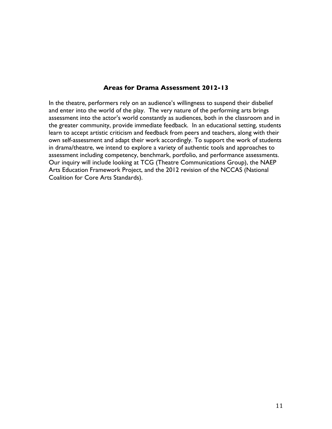#### **Areas for Drama Assessment 2012-13**

In the theatre, performers rely on an audience's willingness to suspend their disbelief and enter into the world of the play. The very nature of the performing arts brings assessment into the actor's world constantly as audiences, both in the classroom and in the greater community, provide immediate feedback. In an educational setting, students learn to accept artistic criticism and feedback from peers and teachers, along with their own self-assessment and adapt their work accordingly. To support the work of students in drama/theatre, we intend to explore a variety of authentic tools and approaches to assessment including competency, benchmark, portfolio, and performance assessments. Our inquiry will include looking at TCG (Theatre Communications Group), the NAEP Arts Education Framework Project, and the 2012 revision of the NCCAS (National Coalition for Core Arts Standards).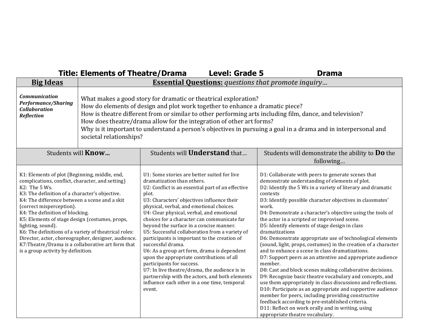|                                                                                                                                                                                                                                                                                                                                                                                                                                                                                                                                                                         | <b>Title: Elements of Theatre/Drama</b>                                                                                                                                                                                                                                                                                                                                                                                                                                                                                                         |                                                                                                                                                                                                                                                                                                                                                                                                                                                                                                                                                                                                                                                                                                                                                                                       | <b>Level: Grade 5</b> | <b>Drama</b>                                                                                                                                                                                                                                                                                                                                                                                                                                                                                                                                                                                                                                                                                                                                                                                                                                                                                                                                                                                                                                                                                                                                               |
|-------------------------------------------------------------------------------------------------------------------------------------------------------------------------------------------------------------------------------------------------------------------------------------------------------------------------------------------------------------------------------------------------------------------------------------------------------------------------------------------------------------------------------------------------------------------------|-------------------------------------------------------------------------------------------------------------------------------------------------------------------------------------------------------------------------------------------------------------------------------------------------------------------------------------------------------------------------------------------------------------------------------------------------------------------------------------------------------------------------------------------------|---------------------------------------------------------------------------------------------------------------------------------------------------------------------------------------------------------------------------------------------------------------------------------------------------------------------------------------------------------------------------------------------------------------------------------------------------------------------------------------------------------------------------------------------------------------------------------------------------------------------------------------------------------------------------------------------------------------------------------------------------------------------------------------|-----------------------|------------------------------------------------------------------------------------------------------------------------------------------------------------------------------------------------------------------------------------------------------------------------------------------------------------------------------------------------------------------------------------------------------------------------------------------------------------------------------------------------------------------------------------------------------------------------------------------------------------------------------------------------------------------------------------------------------------------------------------------------------------------------------------------------------------------------------------------------------------------------------------------------------------------------------------------------------------------------------------------------------------------------------------------------------------------------------------------------------------------------------------------------------------|
| <b>Big Ideas</b>                                                                                                                                                                                                                                                                                                                                                                                                                                                                                                                                                        |                                                                                                                                                                                                                                                                                                                                                                                                                                                                                                                                                 |                                                                                                                                                                                                                                                                                                                                                                                                                                                                                                                                                                                                                                                                                                                                                                                       |                       |                                                                                                                                                                                                                                                                                                                                                                                                                                                                                                                                                                                                                                                                                                                                                                                                                                                                                                                                                                                                                                                                                                                                                            |
| <b>Communication</b><br><b>Performance/Sharing</b><br><b>Collaboration</b><br><b>Reflection</b>                                                                                                                                                                                                                                                                                                                                                                                                                                                                         | <b>Essential Questions:</b> questions that promote inquiry<br>What makes a good story for dramatic or theatrical exploration?<br>How do elements of design and plot work together to enhance a dramatic piece?<br>How is theatre different from or similar to other performing arts including film, dance, and television?<br>How does theatre/drama allow for the integration of other art forms?<br>Why is it important to understand a person's objectives in pursuing a goal in a drama and in interpersonal and<br>societal relationships? |                                                                                                                                                                                                                                                                                                                                                                                                                                                                                                                                                                                                                                                                                                                                                                                       |                       |                                                                                                                                                                                                                                                                                                                                                                                                                                                                                                                                                                                                                                                                                                                                                                                                                                                                                                                                                                                                                                                                                                                                                            |
|                                                                                                                                                                                                                                                                                                                                                                                                                                                                                                                                                                         | Students will <b>Know</b>                                                                                                                                                                                                                                                                                                                                                                                                                                                                                                                       | Students will <b>Understand</b> that                                                                                                                                                                                                                                                                                                                                                                                                                                                                                                                                                                                                                                                                                                                                                  |                       | Students will demonstrate the ability to <b>Do</b> the<br>following                                                                                                                                                                                                                                                                                                                                                                                                                                                                                                                                                                                                                                                                                                                                                                                                                                                                                                                                                                                                                                                                                        |
| K1: Elements of plot (Beginning, middle, end,<br>complications, conflict, character, and setting)<br>K2: The 5 Ws.<br>K3: The definition of a character's objective.<br>K4: The difference between a scene and a skit<br>(correct misperception).<br>K4: The definition of blocking.<br>K5: Elements of stage design (costumes, props,<br>lighting, sound).<br>K6: The definitions of a variety of theatrical roles:<br>Director, actor, choreographer, designer, audience.<br>K7: Theatre/Drama is a collaborative art form that<br>is a group activity by definition. |                                                                                                                                                                                                                                                                                                                                                                                                                                                                                                                                                 | U1: Some stories are better suited for live<br>dramatization than others.<br>U2: Conflict is an essential part of an effective<br>plot.<br>U3: Characters' objectives influence their<br>physical, verbal, and emotional choices.<br>U4: Clear physical, verbal, and emotional<br>choices for a character can communicate far<br>beyond the surface in a concise manner.<br>U5: Successful collaboration from a variety of<br>participants is important to the creation of<br>successful drama.<br>U6: As a group art form, drama is dependent<br>upon the appropriate contributions of all<br>participants for success.<br>U7: In live theatre/drama, the audience is in<br>partnership with the actors, and both elements<br>influence each other in a one time, temporal<br>event. |                       | D1: Collaborate with peers to generate scenes that<br>demonstrate understanding of elements of plot.<br>D2: Identify the 5 Ws in a variety of literary and dramatic<br>contexts<br>D3: Identify possible character objectives in classmates'<br>work.<br>D4: Demonstrate a character's objective using the tools of<br>the actor in a scripted or improvised scene.<br>D5: Identify elements of stage design in class<br>dramatizations<br>D6: Demonstrate appropriate use of technological elements<br>(sound, light, props, costumes) in the creation of a character<br>and to enhance a scene in class dramatizations.<br>D7: Support peers as an attentive and appropriate audience<br>member.<br>D8: Cast and block scenes making collaborative decisions.<br>D9: Recognize basic theatre vocabulary and concepts, and<br>use them appropriately in class discussions and reflections.<br>D10: Participate as an appropriate and supportive audience<br>member for peers, including providing constructive<br>feedback according to pre-established criteria.<br>D11: Reflect on work orally and in writing, using<br>appropriate theatre vocabulary. |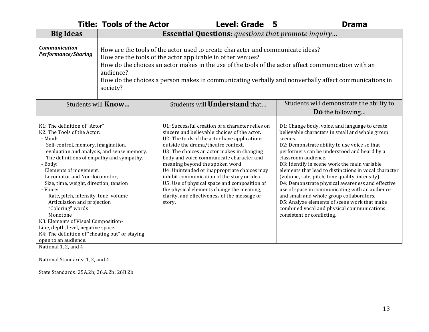|                                                                                                                                                                                                                                                                                                                                                                                                                                                                                                                                                                                                   | <b>Title: Tools of the Actor</b>                                                                                                                                                                                                                                                                                                                                                     | <b>Level: Grade</b><br>5                                                                                                                                                                                                                                                                                                                                                                                                                                                                                                                                                 | <b>Drama</b>                                                                                                                                                                                                                                                                                                                                                                                                                                                                                                                                                                                                                                                                |
|---------------------------------------------------------------------------------------------------------------------------------------------------------------------------------------------------------------------------------------------------------------------------------------------------------------------------------------------------------------------------------------------------------------------------------------------------------------------------------------------------------------------------------------------------------------------------------------------------|--------------------------------------------------------------------------------------------------------------------------------------------------------------------------------------------------------------------------------------------------------------------------------------------------------------------------------------------------------------------------------------|--------------------------------------------------------------------------------------------------------------------------------------------------------------------------------------------------------------------------------------------------------------------------------------------------------------------------------------------------------------------------------------------------------------------------------------------------------------------------------------------------------------------------------------------------------------------------|-----------------------------------------------------------------------------------------------------------------------------------------------------------------------------------------------------------------------------------------------------------------------------------------------------------------------------------------------------------------------------------------------------------------------------------------------------------------------------------------------------------------------------------------------------------------------------------------------------------------------------------------------------------------------------|
| <b>Big Ideas</b>                                                                                                                                                                                                                                                                                                                                                                                                                                                                                                                                                                                  |                                                                                                                                                                                                                                                                                                                                                                                      | <b>Essential Questions:</b> questions that promote inquiry                                                                                                                                                                                                                                                                                                                                                                                                                                                                                                               |                                                                                                                                                                                                                                                                                                                                                                                                                                                                                                                                                                                                                                                                             |
| <b>Communication</b><br><b>Performance/Sharing</b>                                                                                                                                                                                                                                                                                                                                                                                                                                                                                                                                                | How are the tools of the actor used to create character and communicate ideas?<br>How are the tools of the actor applicable in other venues?<br>How do the choices an actor makes in the use of the tools of the actor affect communication with an<br>audience?<br>How do the choices a person makes in communicating verbally and nonverbally affect communications in<br>society? |                                                                                                                                                                                                                                                                                                                                                                                                                                                                                                                                                                          |                                                                                                                                                                                                                                                                                                                                                                                                                                                                                                                                                                                                                                                                             |
|                                                                                                                                                                                                                                                                                                                                                                                                                                                                                                                                                                                                   | Students will <b>Know</b>                                                                                                                                                                                                                                                                                                                                                            | Students will <b>Understand</b> that                                                                                                                                                                                                                                                                                                                                                                                                                                                                                                                                     | Students will demonstrate the ability to                                                                                                                                                                                                                                                                                                                                                                                                                                                                                                                                                                                                                                    |
|                                                                                                                                                                                                                                                                                                                                                                                                                                                                                                                                                                                                   |                                                                                                                                                                                                                                                                                                                                                                                      |                                                                                                                                                                                                                                                                                                                                                                                                                                                                                                                                                                          | <b>Do</b> the following                                                                                                                                                                                                                                                                                                                                                                                                                                                                                                                                                                                                                                                     |
| K1: The definition of "Actor"<br>K2: The Tools of the Actor:<br>- Mind:<br>Self-control, memory, imagination,<br>evaluation and analysis, and sense memory.<br>The definitions of empathy and sympathy.<br>- Body:<br>Elements of movement:<br>Locomotor and Non-locomotor,<br>Size, time, weight, direction, tension<br>- Voice:<br>Rate, pitch, intensity, tone, volume<br>Articulation and projection<br>"Coloring" words<br>Monotone<br>K3: Elements of Visual Composition-<br>Line, depth, level, negative space.<br>K4: The definition of "cheating out" or staying<br>open to an audience. |                                                                                                                                                                                                                                                                                                                                                                                      | U1: Successful creation of a character relies on<br>sincere and believable choices of the actor.<br>U2: The tools of the actor have applications<br>outside the drama/theatre context.<br>U3: The choices an actor makes in changing<br>body and voice communicate character and<br>meaning beyond the spoken word.<br>U4: Unintended or inappropriate choices may<br>inhibit communication of the story or idea.<br>U5: Use of physical space and composition of<br>the physical elements change the meaning,<br>clarity, and effectiveness of the message or<br>story. | D1: Change body, voice, and language to create<br>believable characters in small and whole group<br>scenes.<br>D2: Demonstrate ability to use voice so that<br>performers can be understood and heard by a<br>classroom audience.<br>D3: Identify in scene work the main variable<br>elements that lead to distinctions in vocal character<br>(volume, rate, pitch, tone quality, intensity).<br>D4: Demonstrate physical awareness and effective<br>use of space in communicating with an audience<br>and small and whole group collaborators.<br>D5: Analyze elements of scene work that make<br>combined vocal and physical communications<br>consistent or conflicting. |

National 1, 2, and 4

National Standards: 1, 2, and 4

State Standards: 25A.2b; 26.A.2b; 26B.2b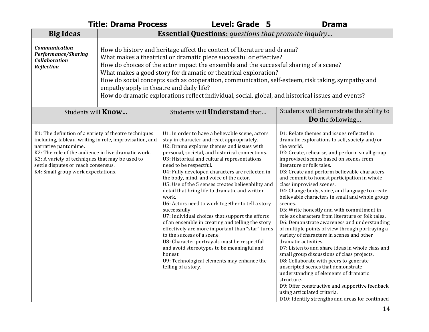|                                                                                                                                                                                                                                                                                                                                 | <b>Title: Drama Process</b>                                                                                                                                                                                                                                                                                                                                                                                                                                                                                                                                       | Level: Grade 5                                                                                                                                                                                                                                                                                                                                                                                                                                                                                                                                                                                                                                                                                                                                                                                                                                                                                                                  | <b>Drama</b>                                                                                                                                                                                                                                                                                                                                                                                                                                                                                                                                                                                                                                                                                                                                                                                                                                                                                                                                                                                                                                                                                                                     |  |
|---------------------------------------------------------------------------------------------------------------------------------------------------------------------------------------------------------------------------------------------------------------------------------------------------------------------------------|-------------------------------------------------------------------------------------------------------------------------------------------------------------------------------------------------------------------------------------------------------------------------------------------------------------------------------------------------------------------------------------------------------------------------------------------------------------------------------------------------------------------------------------------------------------------|---------------------------------------------------------------------------------------------------------------------------------------------------------------------------------------------------------------------------------------------------------------------------------------------------------------------------------------------------------------------------------------------------------------------------------------------------------------------------------------------------------------------------------------------------------------------------------------------------------------------------------------------------------------------------------------------------------------------------------------------------------------------------------------------------------------------------------------------------------------------------------------------------------------------------------|----------------------------------------------------------------------------------------------------------------------------------------------------------------------------------------------------------------------------------------------------------------------------------------------------------------------------------------------------------------------------------------------------------------------------------------------------------------------------------------------------------------------------------------------------------------------------------------------------------------------------------------------------------------------------------------------------------------------------------------------------------------------------------------------------------------------------------------------------------------------------------------------------------------------------------------------------------------------------------------------------------------------------------------------------------------------------------------------------------------------------------|--|
| <b>Big Ideas</b>                                                                                                                                                                                                                                                                                                                |                                                                                                                                                                                                                                                                                                                                                                                                                                                                                                                                                                   | <b>Essential Questions:</b> questions that promote inquiry                                                                                                                                                                                                                                                                                                                                                                                                                                                                                                                                                                                                                                                                                                                                                                                                                                                                      |                                                                                                                                                                                                                                                                                                                                                                                                                                                                                                                                                                                                                                                                                                                                                                                                                                                                                                                                                                                                                                                                                                                                  |  |
| <b>Communication</b><br><b>Performance/Sharing</b><br><b>Collaboration</b><br><b>Reflection</b>                                                                                                                                                                                                                                 | How do history and heritage affect the content of literature and drama?<br>What makes a theatrical or dramatic piece successful or effective?<br>How do choices of the actor impact the ensemble and the successful sharing of a scene?<br>What makes a good story for dramatic or theatrical exploration?<br>How do social concepts such as cooperation, communication, self-esteem, risk taking, sympathy and<br>empathy apply in theatre and daily life?<br>How do dramatic explorations reflect individual, social, global, and historical issues and events? |                                                                                                                                                                                                                                                                                                                                                                                                                                                                                                                                                                                                                                                                                                                                                                                                                                                                                                                                 |                                                                                                                                                                                                                                                                                                                                                                                                                                                                                                                                                                                                                                                                                                                                                                                                                                                                                                                                                                                                                                                                                                                                  |  |
| Students will <b>Know</b>                                                                                                                                                                                                                                                                                                       |                                                                                                                                                                                                                                                                                                                                                                                                                                                                                                                                                                   | Students will <b>Understand</b> that                                                                                                                                                                                                                                                                                                                                                                                                                                                                                                                                                                                                                                                                                                                                                                                                                                                                                            | Students will demonstrate the ability to                                                                                                                                                                                                                                                                                                                                                                                                                                                                                                                                                                                                                                                                                                                                                                                                                                                                                                                                                                                                                                                                                         |  |
|                                                                                                                                                                                                                                                                                                                                 |                                                                                                                                                                                                                                                                                                                                                                                                                                                                                                                                                                   |                                                                                                                                                                                                                                                                                                                                                                                                                                                                                                                                                                                                                                                                                                                                                                                                                                                                                                                                 | <b>Do</b> the following                                                                                                                                                                                                                                                                                                                                                                                                                                                                                                                                                                                                                                                                                                                                                                                                                                                                                                                                                                                                                                                                                                          |  |
| K1: The definition of a variety of theatre techniques<br>including, tableau, writing in role, improvisation, and<br>narrative pantomime.<br>K2: The role of the audience in live dramatic work.<br>K3: A variety of techniques that may be used to<br>settle disputes or reach consensus.<br>K4: Small group work expectations. |                                                                                                                                                                                                                                                                                                                                                                                                                                                                                                                                                                   | U1: In order to have a believable scene, actors<br>stay in character and react appropriately.<br>U2: Drama explores themes and issues with<br>personal, societal, and historical connections.<br>U3: Historical and cultural representations<br>need to be respectful.<br>U4: Fully developed characters are reflected in<br>the body, mind, and voice of the actor.<br>U5: Use of the 5 senses creates believability and<br>detail that bring life to dramatic and written<br>work.<br>U6: Actors need to work together to tell a story<br>successfully.<br>U7: Individual choices that support the efforts<br>of an ensemble in creating and telling the story<br>effectively are more important than "star" turns<br>to the success of a scene.<br>U8: Character portrayals must be respectful<br>and avoid stereotypes to be meaningful and<br>honest.<br>U9: Technological elements may enhance the<br>telling of a story. | D1: Relate themes and issues reflected in<br>dramatic explorations to self, society and/or<br>the world.<br>D2: Create, rehearse, and perform small group<br>improvised scenes based on scenes from<br>literature or folk tales.<br>D3: Create and perform believable characters<br>and commit to honest participation in whole<br>class improvised scenes.<br>D4: Change body, voice, and language to create<br>believable characters in small and whole group<br>scenes.<br>D5: Write honestly and with commitment in<br>role as characters from literature or folk tales.<br>D6: Demonstrate awareness and understanding<br>of multiple points of view through portraying a<br>variety of characters in scenes and other<br>dramatic activities.<br>D7: Listen to and share ideas in whole class and<br>small group discussions of class projects.<br>D8: Collaborate with peers to generate<br>unscripted scenes that demonstrate<br>understanding of elements of dramatic<br>structure.<br>D9: Offer constructive and supportive feedback<br>using articulated criteria.<br>D10: Identify strengths and areas for continued |  |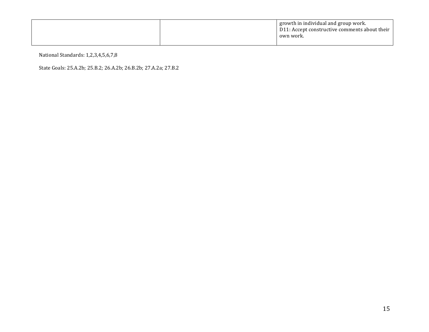|  | growth in individual and group work.<br>D11: Accept constructive comments about their<br>own work. |
|--|----------------------------------------------------------------------------------------------------|
|  |                                                                                                    |

National Standards: 1,2,3,4,5,6,7,8

State Goals: 25.A.2b; 25.B.2; 26.A.2b; 26.B.2b; 27.A.2a; 27.B.2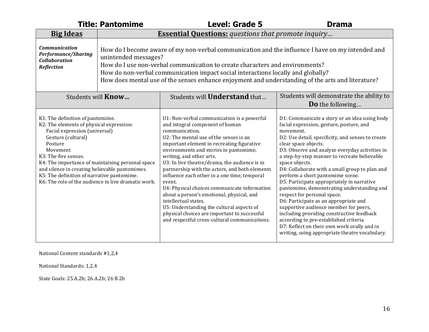|                                                                                                                                                                                                                                                                                    | <b>Title: Pantomime</b>                                                                                                                                                                                                                                                                                                                                                                           | <b>Level: Grade 5</b>                                                                                                                                                                                                                                                                                                                                                                                                                                                                                                                                                                                                                                                                         | <b>Drama</b>                                                                                                                                                                                                                                                                                                                                                                                                                                                                                                                                                                                                                                                                                                                                                                                       |
|------------------------------------------------------------------------------------------------------------------------------------------------------------------------------------------------------------------------------------------------------------------------------------|---------------------------------------------------------------------------------------------------------------------------------------------------------------------------------------------------------------------------------------------------------------------------------------------------------------------------------------------------------------------------------------------------|-----------------------------------------------------------------------------------------------------------------------------------------------------------------------------------------------------------------------------------------------------------------------------------------------------------------------------------------------------------------------------------------------------------------------------------------------------------------------------------------------------------------------------------------------------------------------------------------------------------------------------------------------------------------------------------------------|----------------------------------------------------------------------------------------------------------------------------------------------------------------------------------------------------------------------------------------------------------------------------------------------------------------------------------------------------------------------------------------------------------------------------------------------------------------------------------------------------------------------------------------------------------------------------------------------------------------------------------------------------------------------------------------------------------------------------------------------------------------------------------------------------|
| <b>Big Ideas</b>                                                                                                                                                                                                                                                                   | <b>Essential Questions:</b> questions that promote inquiry                                                                                                                                                                                                                                                                                                                                        |                                                                                                                                                                                                                                                                                                                                                                                                                                                                                                                                                                                                                                                                                               |                                                                                                                                                                                                                                                                                                                                                                                                                                                                                                                                                                                                                                                                                                                                                                                                    |
| <b>Communication</b><br><b>Performance/Sharing</b><br><b>Collaboration</b><br><b>Reflection</b>                                                                                                                                                                                    | How do I become aware of my non-verbal communication and the influence I have on my intended and<br>unintended messages?<br>How do I use non-verbal communication to create characters and environments?<br>How do non-verbal communication impact social interactions locally and globally?<br>How does mental use of the senses enhance enjoyment and understanding of the arts and literature? |                                                                                                                                                                                                                                                                                                                                                                                                                                                                                                                                                                                                                                                                                               |                                                                                                                                                                                                                                                                                                                                                                                                                                                                                                                                                                                                                                                                                                                                                                                                    |
|                                                                                                                                                                                                                                                                                    | Students will <b>Know</b>                                                                                                                                                                                                                                                                                                                                                                         | Students will <b>Understand</b> that                                                                                                                                                                                                                                                                                                                                                                                                                                                                                                                                                                                                                                                          | Students will demonstrate the ability to                                                                                                                                                                                                                                                                                                                                                                                                                                                                                                                                                                                                                                                                                                                                                           |
|                                                                                                                                                                                                                                                                                    |                                                                                                                                                                                                                                                                                                                                                                                                   |                                                                                                                                                                                                                                                                                                                                                                                                                                                                                                                                                                                                                                                                                               | <b>Do</b> the following                                                                                                                                                                                                                                                                                                                                                                                                                                                                                                                                                                                                                                                                                                                                                                            |
| K1: The definition of pantomime.<br>K2: The elements of physical expression:<br>Facial expression (universal)<br>Gesture (cultural)<br>Posture<br>Movement<br>K3: The five senses.<br>and silence in creating believable pantomimes.<br>K5: The definition of narrative pantomime. | K4: The importance of maintaining personal space<br>K6: The role of the audience in live dramatic work.                                                                                                                                                                                                                                                                                           | U1: Non-verbal communication is a powerful<br>and integral component of human<br>communication.<br>U2: The mental use of the senses is an<br>important element in recreating figurative<br>environments and stories in pantomime,<br>writing, and other arts.<br>U3: In live theatre/drama, the audience is in<br>partnership with the actors, and both elements<br>influence each other in a one time, temporal<br>event.<br>U4: Physical choices communicate information<br>about a person's emotional, physical, and<br>intellectual states.<br>U5: Understanding the cultural aspects of<br>physical choices are important to successful<br>and respectful cross-cultural communications. | D1: Communicate a story or an idea using body<br>facial expression, gesture, posture, and<br>movement.<br>D2: Use detail, specificity, and senses to create<br>clear space objects.<br>D3: Observe and analyze everyday activities in<br>a step-by-step manner to recreate believable<br>space objects.<br>D4: Collaborate with a small group to plan and<br>perform a short pantomime scene.<br>D5: Participate appropriately in narrative<br>pantomime, demonstrating understanding and<br>respect for personal space.<br>D6: Participate as an appropriate and<br>supportive audience member for peers,<br>including providing constructive feedback<br>according to pre-established criteria.<br>D7: Reflect on their own work orally and in<br>writing, using appropriate theatre vocabulary. |

National Content standards #1,2,4

National Standards: 1,2,4

State Goals: 25.A.2b; 26.A.2b; 26 B.2b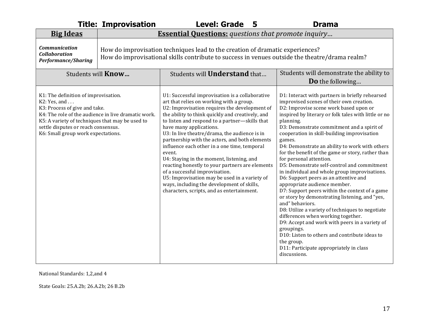|                                                                                                                                                                                                                       | <b>Title: Improvisation</b>                                                                                                                                                     | <b>Level: Grade</b><br>5                                                                                                                                                                                                                                                                                                                                                                                                                                                                                                                                                                                                                                                                                                  | <b>Drama</b>                                                                                                                                                                                                                                                                                                                                                                                                                                                                                                                                                                                                                                                                                                                                                                                                                                                                                                                                                                                                                            |
|-----------------------------------------------------------------------------------------------------------------------------------------------------------------------------------------------------------------------|---------------------------------------------------------------------------------------------------------------------------------------------------------------------------------|---------------------------------------------------------------------------------------------------------------------------------------------------------------------------------------------------------------------------------------------------------------------------------------------------------------------------------------------------------------------------------------------------------------------------------------------------------------------------------------------------------------------------------------------------------------------------------------------------------------------------------------------------------------------------------------------------------------------------|-----------------------------------------------------------------------------------------------------------------------------------------------------------------------------------------------------------------------------------------------------------------------------------------------------------------------------------------------------------------------------------------------------------------------------------------------------------------------------------------------------------------------------------------------------------------------------------------------------------------------------------------------------------------------------------------------------------------------------------------------------------------------------------------------------------------------------------------------------------------------------------------------------------------------------------------------------------------------------------------------------------------------------------------|
| <b>Big Ideas</b>                                                                                                                                                                                                      | <b>Essential Questions:</b> questions that promote inquiry                                                                                                                      |                                                                                                                                                                                                                                                                                                                                                                                                                                                                                                                                                                                                                                                                                                                           |                                                                                                                                                                                                                                                                                                                                                                                                                                                                                                                                                                                                                                                                                                                                                                                                                                                                                                                                                                                                                                         |
| <b>Communication</b><br><b>Collaboration</b><br><b>Performance/Sharing</b>                                                                                                                                            | How do improvisation techniques lead to the creation of dramatic experiences?<br>How do improvisational skills contribute to success in venues outside the theatre/drama realm? |                                                                                                                                                                                                                                                                                                                                                                                                                                                                                                                                                                                                                                                                                                                           |                                                                                                                                                                                                                                                                                                                                                                                                                                                                                                                                                                                                                                                                                                                                                                                                                                                                                                                                                                                                                                         |
|                                                                                                                                                                                                                       | Students will <b>Know</b>                                                                                                                                                       | Students will <b>Understand</b> that                                                                                                                                                                                                                                                                                                                                                                                                                                                                                                                                                                                                                                                                                      | Students will demonstrate the ability to                                                                                                                                                                                                                                                                                                                                                                                                                                                                                                                                                                                                                                                                                                                                                                                                                                                                                                                                                                                                |
|                                                                                                                                                                                                                       |                                                                                                                                                                                 |                                                                                                                                                                                                                                                                                                                                                                                                                                                                                                                                                                                                                                                                                                                           | Do the following                                                                                                                                                                                                                                                                                                                                                                                                                                                                                                                                                                                                                                                                                                                                                                                                                                                                                                                                                                                                                        |
| K1: The definition of improvisation.<br>K2: Yes, and<br>K3: Process of give and take.<br>K5: A variety of techniques that may be used to<br>settle disputes or reach consensus.<br>K6: Small group work expectations. | K4: The role of the audience in live dramatic work.                                                                                                                             | U1: Successful improvisation is a collaborative<br>art that relies on working with a group.<br>U2: Improvisation requires the development of<br>the ability to think quickly and creatively, and<br>to listen and respond to a partner-skills that<br>have many applications.<br>U3: In live theatre/drama, the audience is in<br>partnership with the actors, and both elements<br>influence each other in a one time, temporal<br>event.<br>U4: Staying in the moment, listening, and<br>reacting honestly to your partners are elements<br>of a successful improvisation.<br>U5: Improvisation may be used in a variety of<br>ways, including the development of skills,<br>characters, scripts, and as entertainment. | D1: Interact with partners in briefly rehearsed<br>improvised scenes of their own creation.<br>D2: Improvise scene work based upon or<br>inspired by literary or folk tales with little or no<br>planning.<br>D3: Demonstrate commitment and a spirit of<br>cooperation in skill-building improvisation<br>games.<br>D4: Demonstrate an ability to work with others<br>for the benefit of the game or story, rather than<br>for personal attention.<br>D5: Demonstrate self-control and commitment<br>in individual and whole group improvisations.<br>D6: Support peers as an attentive and<br>appropriate audience member.<br>D7: Support peers within the context of a game<br>or story by demonstrating listening, and "yes,<br>and" behaviors.<br>D8: Utilize a variety of techniques to negotiate<br>differences when working together.<br>D9: Accept and work with peers in a variety of<br>groupings.<br>D10: Listen to others and contribute ideas to<br>the group.<br>D11: Participate appropriately in class<br>discussions. |

National Standards: 1,2,and 4

State Goals: 25.A.2b; 26.A.2b; 26 B.2b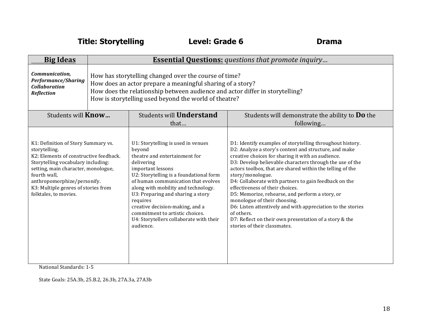**Title: Storytelling Level: Grade 6 Drama**

| <b>Big Ideas</b>                                                                                                                                                                                                                                                                                                                                          | <b>Essential Questions:</b> questions that promote inquiry |                                                                                                                                                                                                                                                                                                                                                                                                                          |                                                                                                                                                                                                                                                                                                                                                                                                                                                                                                                                                                                                                                                                            |
|-----------------------------------------------------------------------------------------------------------------------------------------------------------------------------------------------------------------------------------------------------------------------------------------------------------------------------------------------------------|------------------------------------------------------------|--------------------------------------------------------------------------------------------------------------------------------------------------------------------------------------------------------------------------------------------------------------------------------------------------------------------------------------------------------------------------------------------------------------------------|----------------------------------------------------------------------------------------------------------------------------------------------------------------------------------------------------------------------------------------------------------------------------------------------------------------------------------------------------------------------------------------------------------------------------------------------------------------------------------------------------------------------------------------------------------------------------------------------------------------------------------------------------------------------------|
| Communication,<br>How has storytelling changed over the course of time?<br><b>Performance/Sharing</b><br>How does an actor prepare a meaningful sharing of a story?<br><b>Collaboration</b><br>How does the relationship between audience and actor differ in storytelling?<br><b>Reflection</b><br>How is storytelling used beyond the world of theatre? |                                                            |                                                                                                                                                                                                                                                                                                                                                                                                                          |                                                                                                                                                                                                                                                                                                                                                                                                                                                                                                                                                                                                                                                                            |
| Students will <b>Know</b>                                                                                                                                                                                                                                                                                                                                 |                                                            | Students will <b>Understand</b><br>that                                                                                                                                                                                                                                                                                                                                                                                  | Students will demonstrate the ability to <b>Do</b> the<br>following                                                                                                                                                                                                                                                                                                                                                                                                                                                                                                                                                                                                        |
| K1: Definition of Story Summary vs.<br>storytelling.<br>K2: Elements of constructive feedback.<br>Storytelling vocabulary including:<br>setting, main character, monologue,<br>fourth wall,<br>anthropomorphize/personify.<br>K3: Multiple genres of stories from<br>folktales, to movies.                                                                |                                                            | U1: Storytelling is used in venues<br>beyond<br>theatre and entertainment for<br>delivering<br>important lessons<br>U2: Storytelling is a foundational form<br>of human communication that evolves<br>along with mobility and technology.<br>U3: Preparing and sharing a story<br>requires<br>creative decision-making, and a<br>commitment to artistic choices.<br>U4: Storytellers collaborate with their<br>audience. | D1: Identify examples of storytelling throughout history.<br>D2: Analyze a story's content and structure, and make<br>creative choices for sharing it with an audience.<br>D3: Develop believable characters through the use of the<br>actors toolbox, that are shared within the telling of the<br>story/monologue.<br>D4: Collaborate with partners to gain feedback on the<br>effectiveness of their choices.<br>D5: Memorize, rehearse, and perform a story, or<br>monologue of their choosing.<br>D6: Listen attentively and with appreciation to the stories<br>of others.<br>D7: Reflect on their own presentation of a story & the<br>stories of their classmates. |

National Standards: 1-5

State Goals: 25A.3b, 25.B.2, 26.3b, 27A.3a, 27A3b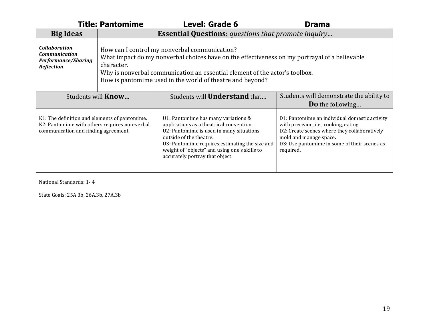|                                                                                                                                        | <b>Title: Pantomime</b>                                                                                                                                                                                                                                                                                  | <b>Level: Grade 6</b>                                                                                                                                                                                                                                                                        | <b>Drama</b>                                                                                                                                                                                                                  |  |  |
|----------------------------------------------------------------------------------------------------------------------------------------|----------------------------------------------------------------------------------------------------------------------------------------------------------------------------------------------------------------------------------------------------------------------------------------------------------|----------------------------------------------------------------------------------------------------------------------------------------------------------------------------------------------------------------------------------------------------------------------------------------------|-------------------------------------------------------------------------------------------------------------------------------------------------------------------------------------------------------------------------------|--|--|
| <b>Big Ideas</b>                                                                                                                       |                                                                                                                                                                                                                                                                                                          | <b>Essential Questions:</b> questions that promote inquiry                                                                                                                                                                                                                                   |                                                                                                                                                                                                                               |  |  |
| <b>Collaboration</b><br><b>Communication</b><br>Performance/Sharing<br><b>Reflection</b>                                               | How can I control my nonverbal communication?<br>What impact do my nonverbal choices have on the effectiveness on my portrayal of a believable<br>character.<br>Why is nonverbal communication an essential element of the actor's toolbox.<br>How is pantomime used in the world of theatre and beyond? |                                                                                                                                                                                                                                                                                              |                                                                                                                                                                                                                               |  |  |
| Students will <b>Know</b>                                                                                                              |                                                                                                                                                                                                                                                                                                          | Students will <b>Understand</b> that                                                                                                                                                                                                                                                         | Students will demonstrate the ability to<br><b>Do</b> the following                                                                                                                                                           |  |  |
| K1: The definition and elements of pantomime.<br>K2: Pantomime with others requires non-verbal<br>communication and finding agreement. |                                                                                                                                                                                                                                                                                                          | U1: Pantomime has many variations &<br>applications as a theatrical convention.<br>U2: Pantomime is used in many situations<br>outside of the theatre.<br>U3: Pantomime requires estimating the size and<br>weight of "objects" and using one's skills to<br>accurately portray that object. | D1: Pantomime an individual domestic activity<br>with precision, i.e., cooking, eating<br>D2: Create scenes where they collaboratively<br>mold and manage space.<br>D3: Use pantomime in some of their scenes as<br>required. |  |  |

National Standards: 1-4

State Goals: 25A.3b, 26A.3b, 27A.3b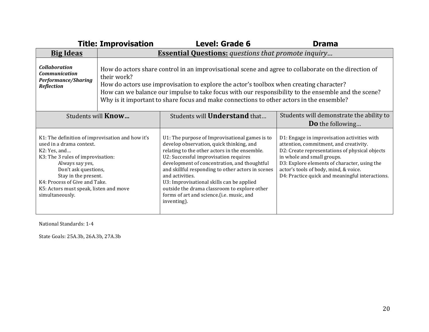|                                                                                                                                                                                                                                                                                                    | <b>Title: Improvisation</b>                                                                                                                                                                                                                                                                                                                                                                                       | <b>Level: Grade 6</b>                                                                                                                                                                                                                                                                                                                                                                                                                                                 | <b>Drama</b>                                                                                                                                                                                                                                                                                                      |
|----------------------------------------------------------------------------------------------------------------------------------------------------------------------------------------------------------------------------------------------------------------------------------------------------|-------------------------------------------------------------------------------------------------------------------------------------------------------------------------------------------------------------------------------------------------------------------------------------------------------------------------------------------------------------------------------------------------------------------|-----------------------------------------------------------------------------------------------------------------------------------------------------------------------------------------------------------------------------------------------------------------------------------------------------------------------------------------------------------------------------------------------------------------------------------------------------------------------|-------------------------------------------------------------------------------------------------------------------------------------------------------------------------------------------------------------------------------------------------------------------------------------------------------------------|
| <b>Big Ideas</b>                                                                                                                                                                                                                                                                                   |                                                                                                                                                                                                                                                                                                                                                                                                                   | <b>Essential Questions:</b> questions that promote inquiry                                                                                                                                                                                                                                                                                                                                                                                                            |                                                                                                                                                                                                                                                                                                                   |
| <b>Collaboration</b><br><b>Communication</b><br><b>Performance/Sharing</b><br>Reflection                                                                                                                                                                                                           | How do actors share control in an improvisational scene and agree to collaborate on the direction of<br>their work?<br>How do actors use improvisation to explore the actor's toolbox when creating character?<br>How can we balance our impulse to take focus with our responsibility to the ensemble and the scene?<br>Why is it important to share focus and make connections to other actors in the ensemble? |                                                                                                                                                                                                                                                                                                                                                                                                                                                                       |                                                                                                                                                                                                                                                                                                                   |
| Students will <b>Know</b>                                                                                                                                                                                                                                                                          |                                                                                                                                                                                                                                                                                                                                                                                                                   | Students will <b>Understand</b> that                                                                                                                                                                                                                                                                                                                                                                                                                                  | Students will demonstrate the ability to<br><b>Do</b> the following                                                                                                                                                                                                                                               |
| K1: The definition of improvisation and how it's<br>used in a drama context.<br>K2: Yes, and<br>K3: The 3 rules of improvisation:<br>Always say yes,<br>Don't ask questions,<br>Stay in the present.<br>K4: Process of Give and Take.<br>K5: Actors must speak, listen and move<br>simultaneously. |                                                                                                                                                                                                                                                                                                                                                                                                                   | U1: The purpose of Improvisational games is to<br>develop observation, quick thinking, and<br>relating to the other actors in the ensemble.<br>U2: Successful improvisation requires<br>development of concentration, and thoughtful<br>and skillful responding to other actors in scenes<br>and activities.<br>U3: Improvisational skills can be applied<br>outside the drama classroom to explore other<br>forms of art and science.(i.e. music, and<br>inventing). | D1: Engage in improvisation activities with<br>attention, commitment, and creativity.<br>D2: Create representations of physical objects<br>in whole and small groups.<br>D3: Explore elements of character, using the<br>actor's tools of body, mind, & voice.<br>D4: Practice quick and meaningful interactions. |

National Standards: 1-4

State Goals: 25A.3b, 26A.3b, 27A.3b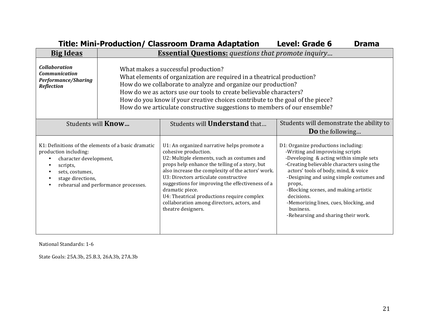|                                                                                                     |                                                                                                                                                                                                                                                                                                                                                                                                                    | Title: Mini-Production/ Classroom Drama Adaptation                                                                                                                                                                                                                                                                                                                                                                                                         | <b>Level: Grade 6</b><br><b>Drama</b>                                                                                                                                                                                                                                                                                                                                                                              |
|-----------------------------------------------------------------------------------------------------|--------------------------------------------------------------------------------------------------------------------------------------------------------------------------------------------------------------------------------------------------------------------------------------------------------------------------------------------------------------------------------------------------------------------|------------------------------------------------------------------------------------------------------------------------------------------------------------------------------------------------------------------------------------------------------------------------------------------------------------------------------------------------------------------------------------------------------------------------------------------------------------|--------------------------------------------------------------------------------------------------------------------------------------------------------------------------------------------------------------------------------------------------------------------------------------------------------------------------------------------------------------------------------------------------------------------|
| <b>Big Ideas</b>                                                                                    | <b>Essential Questions:</b> questions that promote inquiry                                                                                                                                                                                                                                                                                                                                                         |                                                                                                                                                                                                                                                                                                                                                                                                                                                            |                                                                                                                                                                                                                                                                                                                                                                                                                    |
| <b>Collaboration</b><br><b>Communication</b><br>Performance/Sharing<br>Reflection                   | What makes a successful production?<br>What elements of organization are required in a theatrical production?<br>How do we collaborate to analyze and organize our production?<br>How do we as actors use our tools to create believable characters?<br>How do you know if your creative choices contribute to the goal of the piece?<br>How do we articulate constructive suggestions to members of our ensemble? |                                                                                                                                                                                                                                                                                                                                                                                                                                                            |                                                                                                                                                                                                                                                                                                                                                                                                                    |
| Students will <b>Know</b>                                                                           |                                                                                                                                                                                                                                                                                                                                                                                                                    | Students will <b>Understand</b> that                                                                                                                                                                                                                                                                                                                                                                                                                       | Students will demonstrate the ability to<br><b>Do</b> the following                                                                                                                                                                                                                                                                                                                                                |
| production including:<br>character development,<br>scripts,<br>sets, costumes,<br>stage directions, | K1: Definitions of the elements of a basic dramatic<br>rehearsal and performance processes.                                                                                                                                                                                                                                                                                                                        | U1: An organized narrative helps promote a<br>cohesive production.<br>U2: Multiple elements, such as costumes and<br>props help enhance the telling of a story, but<br>also increase the complexity of the actors' work.<br>U3: Directors articulate constructive<br>suggestions for improving the effectiveness of a<br>dramatic piece.<br>U4: Theatrical productions require complex<br>collaboration among directors, actors, and<br>theatre designers. | D1: Organize productions including:<br>-Writing and improvising scripts<br>-Developing & acting within simple sets<br>-Creating believable characters using the<br>actors' tools of body, mind, & voice<br>-Designing and using simple costumes and<br>props,<br>-Blocking scenes, and making artistic<br>decisions.<br>-Memorizing lines, cues, blocking, and<br>business.<br>-Rehearsing and sharing their work. |

National Standards: 1-6

State Goals: 25A.3b, 25.B.3, 26A.3b, 27A.3b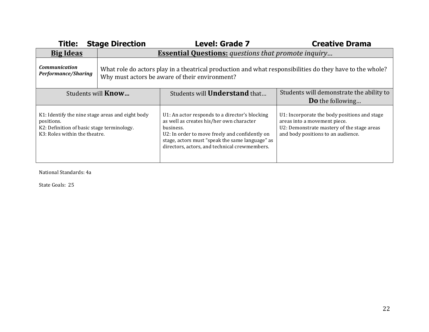| <b>Title:</b>                                                                             | <b>Stage Direction</b>                                                                                                                                     | <b>Level: Grade 7</b>                                                                                                                                           | <b>Creative Drama</b>                                                            |  |
|-------------------------------------------------------------------------------------------|------------------------------------------------------------------------------------------------------------------------------------------------------------|-----------------------------------------------------------------------------------------------------------------------------------------------------------------|----------------------------------------------------------------------------------|--|
| <b>Big Ideas</b>                                                                          |                                                                                                                                                            | <b>Essential Questions:</b> questions that promote inquiry                                                                                                      |                                                                                  |  |
| <b>Communication</b><br><b>Performance/Sharing</b>                                        | What role do actors play in a theatrical production and what responsibilities do they have to the whole?<br>Why must actors be aware of their environment? |                                                                                                                                                                 |                                                                                  |  |
| Students will <b>Know</b>                                                                 |                                                                                                                                                            | Students will <b>Understand</b> that                                                                                                                            | Students will demonstrate the ability to<br><b>Do</b> the following              |  |
| K1: Identify the nine stage areas and eight body                                          |                                                                                                                                                            | U1: An actor responds to a director's blocking<br>as well as creates his/her own character                                                                      | U1: Incorporate the body positions and stage<br>areas into a movement piece.     |  |
| positions.<br>K2: Definition of basic stage terminology.<br>K3: Roles within the theatre. |                                                                                                                                                            | business.<br>U2: In order to move freely and confidently on<br>stage, actors must "speak the same language" as<br>directors, actors, and technical crewmembers. | U2: Demonstrate mastery of the stage areas<br>and body positions to an audience. |  |

National Standards: 4a

State Goals: 25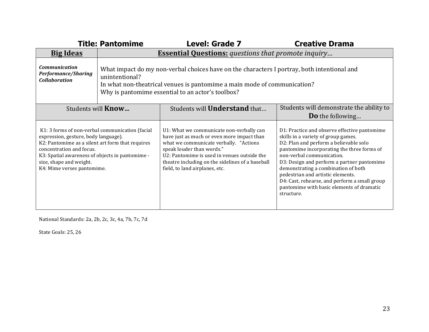|                                                                                                                                                                                                                                                                                     | <b>Title: Pantomime</b>                                                                                                                                                                                                                        | <b>Level: Grade 7</b>                                                                                                                                                                                                                                                                              | <b>Creative Drama</b>                                                                                                                                                                                                                                                                                                                                                                                                                          |  |  |
|-------------------------------------------------------------------------------------------------------------------------------------------------------------------------------------------------------------------------------------------------------------------------------------|------------------------------------------------------------------------------------------------------------------------------------------------------------------------------------------------------------------------------------------------|----------------------------------------------------------------------------------------------------------------------------------------------------------------------------------------------------------------------------------------------------------------------------------------------------|------------------------------------------------------------------------------------------------------------------------------------------------------------------------------------------------------------------------------------------------------------------------------------------------------------------------------------------------------------------------------------------------------------------------------------------------|--|--|
| <b>Big Ideas</b>                                                                                                                                                                                                                                                                    |                                                                                                                                                                                                                                                | <b>Essential Questions:</b> questions that promote inquiry                                                                                                                                                                                                                                         |                                                                                                                                                                                                                                                                                                                                                                                                                                                |  |  |
| <b>Communication</b><br><b>Performance/Sharing</b><br><b>Collaboration</b>                                                                                                                                                                                                          | What impact do my non-verbal choices have on the characters I portray, both intentional and<br>unintentional?<br>In what non-theatrical venues is pantomime a main mode of communication?<br>Why is pantomime essential to an actor's toolbox? |                                                                                                                                                                                                                                                                                                    |                                                                                                                                                                                                                                                                                                                                                                                                                                                |  |  |
| Students will <b>Understand</b> that<br>Students will <b>Know</b>                                                                                                                                                                                                                   |                                                                                                                                                                                                                                                | Students will demonstrate the ability to<br><b>Do</b> the following                                                                                                                                                                                                                                |                                                                                                                                                                                                                                                                                                                                                                                                                                                |  |  |
| K1: 3 forms of non-verbal communication (facial<br>expression, gesture, body language).<br>K2: Pantomime as a silent art form that requires<br>concentration and focus.<br>K3: Spatial awareness of objects in pantomime -<br>size, shape and weight.<br>K4: Mime verses pantomime. |                                                                                                                                                                                                                                                | U1: What we communicate non-verbally can<br>have just as much or even more impact than<br>what we communicate verbally. "Actions<br>speak louder than words."<br>U2: Pantomime is used in venues outside the<br>theatre including on the sidelines of a baseball<br>field, to land airplanes, etc. | D1: Practice and observe effective pantomime<br>skills in a variety of group games.<br>D2: Plan and perform a believable solo<br>pantomime incorporating the three forms of<br>non-verbal communication.<br>D3: Design and perform a partner pantomime<br>demonstrating a combination of both<br>pedestrian and artistic elements.<br>D4: Cast, rehearse, and perform a small group<br>pantomime with basic elements of dramatic<br>structure. |  |  |

National Standards: 2a, 2b, 2c, 3c, 4a, 7b, 7c, 7d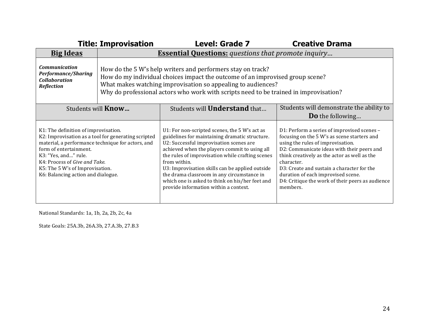|                                                                                                                                                                                                                                                       | <b>Title: Improvisation</b>                                                                                                                                                                                                                                                                           | <b>Level: Grade 7</b>                                                                                                                                                                                                                                                                                                                                                                                                                                        | <b>Creative Drama</b>                                                                                                                                                                                                                                                                                                                                                                           |
|-------------------------------------------------------------------------------------------------------------------------------------------------------------------------------------------------------------------------------------------------------|-------------------------------------------------------------------------------------------------------------------------------------------------------------------------------------------------------------------------------------------------------------------------------------------------------|--------------------------------------------------------------------------------------------------------------------------------------------------------------------------------------------------------------------------------------------------------------------------------------------------------------------------------------------------------------------------------------------------------------------------------------------------------------|-------------------------------------------------------------------------------------------------------------------------------------------------------------------------------------------------------------------------------------------------------------------------------------------------------------------------------------------------------------------------------------------------|
| <b>Big Ideas</b>                                                                                                                                                                                                                                      | <b>Essential Questions:</b> questions that promote inquiry                                                                                                                                                                                                                                            |                                                                                                                                                                                                                                                                                                                                                                                                                                                              |                                                                                                                                                                                                                                                                                                                                                                                                 |
| <b>Communication</b><br><b>Performance/Sharing</b><br><b>Collaboration</b><br><b>Reflection</b>                                                                                                                                                       | How do the 5 W's help writers and performers stay on track?<br>How do my individual choices impact the outcome of an improvised group scene?<br>What makes watching improvisation so appealing to audiences?<br>Why do professional actors who work with scripts need to be trained in improvisation? |                                                                                                                                                                                                                                                                                                                                                                                                                                                              |                                                                                                                                                                                                                                                                                                                                                                                                 |
| Students will <b>Know</b>                                                                                                                                                                                                                             |                                                                                                                                                                                                                                                                                                       | Students will <b>Understand</b> that                                                                                                                                                                                                                                                                                                                                                                                                                         | Students will demonstrate the ability to<br><b>Do</b> the following                                                                                                                                                                                                                                                                                                                             |
| K1: The definition of improvisation.<br>material, a performance technique for actors, and<br>form of entertainment.<br>K3: "Yes, and" rule.<br>K4: Process of Give and Take.<br>K5: The 5 W's of Improvisation.<br>K6: Balancing action and dialogue. | K2: Improvisation as a tool for generating scripted                                                                                                                                                                                                                                                   | U1: For non-scripted scenes, the 5 W's act as<br>guidelines for maintaining dramatic structure.<br>U2: Successful improvisation scenes are<br>achieved when the players commit to using all<br>the rules of improvisation while crafting scenes<br>from within.<br>U3: Improvisation skills can be applied outside<br>the drama classroom in any circumstance in<br>which one is asked to think on his/her feet and<br>provide information within a context. | D1: Perform a series of improvised scenes -<br>focusing on the 5 W's as scene starters and<br>using the rules of improvisation.<br>D2: Communicate ideas with their peers and<br>think creatively as the actor as well as the<br>character.<br>D3: Create and sustain a character for the<br>duration of each improvised scene.<br>D4: Critique the work of their peers as audience<br>members. |

National Standards: 1a, 1b, 2a, 2b, 2c, 4a

State Goals: 25A.3b, 26A.3b, 27.A.3b, 27.B.3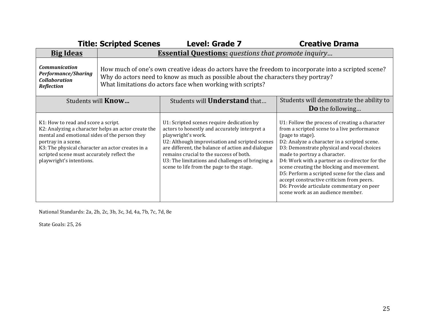|                                                                                                                                                                                                                                           | <b>Title: Scripted Scenes</b>                                                                                                                                                                                                                            | <b>Level: Grade 7</b>                                                                                                                                                                                                                                                                                                                                               | <b>Creative Drama</b>                                                                                                                                                                                                                                                                                                                                                                                                                                                                                                           |
|-------------------------------------------------------------------------------------------------------------------------------------------------------------------------------------------------------------------------------------------|----------------------------------------------------------------------------------------------------------------------------------------------------------------------------------------------------------------------------------------------------------|---------------------------------------------------------------------------------------------------------------------------------------------------------------------------------------------------------------------------------------------------------------------------------------------------------------------------------------------------------------------|---------------------------------------------------------------------------------------------------------------------------------------------------------------------------------------------------------------------------------------------------------------------------------------------------------------------------------------------------------------------------------------------------------------------------------------------------------------------------------------------------------------------------------|
| <b>Big Ideas</b>                                                                                                                                                                                                                          | <b>Essential Questions:</b> questions that promote inquiry                                                                                                                                                                                               |                                                                                                                                                                                                                                                                                                                                                                     |                                                                                                                                                                                                                                                                                                                                                                                                                                                                                                                                 |
| <b>Communication</b><br><b>Performance/Sharing</b><br><b>Collaboration</b><br><b>Reflection</b>                                                                                                                                           | How much of one's own creative ideas do actors have the freedom to incorporate into a scripted scene?<br>Why do actors need to know as much as possible about the characters they portray?<br>What limitations do actors face when working with scripts? |                                                                                                                                                                                                                                                                                                                                                                     |                                                                                                                                                                                                                                                                                                                                                                                                                                                                                                                                 |
| Students will <b>Know</b>                                                                                                                                                                                                                 |                                                                                                                                                                                                                                                          | Students will <b>Understand</b> that                                                                                                                                                                                                                                                                                                                                | Students will demonstrate the ability to                                                                                                                                                                                                                                                                                                                                                                                                                                                                                        |
|                                                                                                                                                                                                                                           |                                                                                                                                                                                                                                                          |                                                                                                                                                                                                                                                                                                                                                                     | <b>Do</b> the following                                                                                                                                                                                                                                                                                                                                                                                                                                                                                                         |
| K1: How to read and score a script.<br>mental and emotional sides of the person they<br>portray in a scene.<br>K3: The physical character an actor creates in a<br>scripted scene must accurately reflect the<br>playwright's intentions. | K2: Analyzing a character helps an actor create the                                                                                                                                                                                                      | U1: Scripted scenes require dedication by<br>actors to honestly and accurately interpret a<br>playwright's work.<br>U2: Although improvisation and scripted scenes<br>are different, the balance of action and dialogue<br>remains crucial to the success of both.<br>U3: The limitations and challenges of bringing a<br>scene to life from the page to the stage. | U1: Follow the process of creating a character<br>from a scripted scene to a live performance<br>(page to stage).<br>D2: Analyze a character in a scripted scene.<br>D3: Demonstrate physical and vocal choices<br>made to portray a character.<br>D4: Work with a partner as co-director for the<br>scene creating the blocking and movement.<br>D5: Perform a scripted scene for the class and<br>accept constructive criticism from peers.<br>D6: Provide articulate commentary on peer<br>scene work as an audience member. |

National Standards: 2a, 2b, 2c, 3b, 3c, 3d, 4a, 7b, 7c, 7d, 8e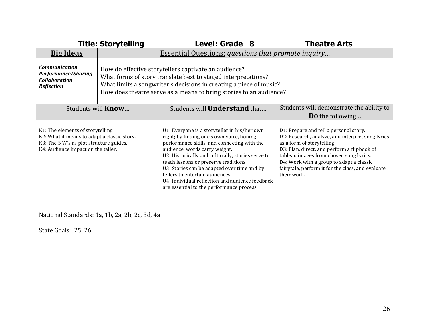|                                                                                                                                                                   | <b>Title: Storytelling</b>                                                                                                                                                                                                                                        | <b>Level: Grade 8</b>                                                                                                                                                                                                                                                                                                                                                                                                                                     | <b>Theatre Arts</b>                                                                                                                                                                                                                                                                                                                |
|-------------------------------------------------------------------------------------------------------------------------------------------------------------------|-------------------------------------------------------------------------------------------------------------------------------------------------------------------------------------------------------------------------------------------------------------------|-----------------------------------------------------------------------------------------------------------------------------------------------------------------------------------------------------------------------------------------------------------------------------------------------------------------------------------------------------------------------------------------------------------------------------------------------------------|------------------------------------------------------------------------------------------------------------------------------------------------------------------------------------------------------------------------------------------------------------------------------------------------------------------------------------|
| <b>Big Ideas</b>                                                                                                                                                  |                                                                                                                                                                                                                                                                   | Essential Questions: questions that promote inquiry                                                                                                                                                                                                                                                                                                                                                                                                       |                                                                                                                                                                                                                                                                                                                                    |
| <b>Communication</b><br><b>Performance/Sharing</b><br><b>Collaboration</b><br><b>Reflection</b>                                                                   | How do effective storytellers captivate an audience?<br>What forms of story translate best to staged interpretations?<br>What limits a songwriter's decisions in creating a piece of music?<br>How does theatre serve as a means to bring stories to an audience? |                                                                                                                                                                                                                                                                                                                                                                                                                                                           |                                                                                                                                                                                                                                                                                                                                    |
| Students will <b>Understand</b> that<br>Students will <b>Know</b>                                                                                                 |                                                                                                                                                                                                                                                                   | Students will demonstrate the ability to<br><b>Do</b> the following                                                                                                                                                                                                                                                                                                                                                                                       |                                                                                                                                                                                                                                                                                                                                    |
| K1: The elements of storytelling.<br>K2: What it means to adapt a classic story.<br>K3: The 5 W's as plot structure guides.<br>K4: Audience impact on the teller. |                                                                                                                                                                                                                                                                   | U1: Everyone is a storyteller in his/her own<br>right; by finding one's own voice, honing<br>performance skills, and connecting with the<br>audience, words carry weight.<br>U2: Historically and culturally, stories serve to<br>teach lessons or preserve traditions.<br>U3: Stories can be adapted over time and by<br>tellers to entertain audiences.<br>U4: Individual reflection and audience feedback<br>are essential to the performance process. | D1: Prepare and tell a personal story.<br>D2: Research, analyze, and interpret song lyrics<br>as a form of storytelling.<br>D3: Plan, direct, and perform a flipbook of<br>tableau images from chosen song lyrics.<br>D4: Work with a group to adapt a classic<br>fairytale, perform it for the class, and evaluate<br>their work. |

National Standards: 1a, 1b, 2a, 2b, 2c, 3d, 4a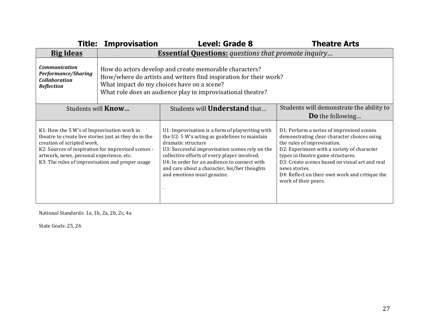|                                                                                                                                                                                                                                                                                        | <b>Title: Improvisation</b>                                                                                                                                                                                                              | <b>Level: Grade 8</b>                                                                                                                                                                                                                                                                                                                                    | <b>Theatre Arts</b>                                                                                                                                                                                                                                                                                                                                     |
|----------------------------------------------------------------------------------------------------------------------------------------------------------------------------------------------------------------------------------------------------------------------------------------|------------------------------------------------------------------------------------------------------------------------------------------------------------------------------------------------------------------------------------------|----------------------------------------------------------------------------------------------------------------------------------------------------------------------------------------------------------------------------------------------------------------------------------------------------------------------------------------------------------|---------------------------------------------------------------------------------------------------------------------------------------------------------------------------------------------------------------------------------------------------------------------------------------------------------------------------------------------------------|
| <b>Big Ideas</b>                                                                                                                                                                                                                                                                       |                                                                                                                                                                                                                                          | <b>Essential Questions:</b> questions that promote inquiry                                                                                                                                                                                                                                                                                               |                                                                                                                                                                                                                                                                                                                                                         |
| <b>Communication</b><br><b>Performance/Sharing</b><br><b>Collaboration</b><br><b>Reflection</b>                                                                                                                                                                                        | How do actors develop and create memorable characters?<br>How/where do artists and writers find inspiration for their work?<br>What impact do my choices have on a scene?<br>What role does an audience play in improvisational theatre? |                                                                                                                                                                                                                                                                                                                                                          |                                                                                                                                                                                                                                                                                                                                                         |
| Students will <b>Know</b>                                                                                                                                                                                                                                                              |                                                                                                                                                                                                                                          | Students will <b>Understand</b> that                                                                                                                                                                                                                                                                                                                     | Students will demonstrate the ability to<br><b>Do</b> the following                                                                                                                                                                                                                                                                                     |
| K1: How the 5 W's of Improvisation work in<br>theatre to create live stories just as they do in the<br>creation of scripted work.<br>K2: Sources of inspiration for improvised scenes -<br>artwork, news, personal experience, etc.<br>K3: The rules of improvisation and proper usage |                                                                                                                                                                                                                                          | U1: Improvisation is a form of playwriting with<br>the U2: 5 W's acting as guidelines to maintain<br>dramatic structure<br>U3: Successful improvisation scenes rely on the<br>collective efforts of every player involved.<br>U4: In order for an audience to connect with<br>and care about a character, his/her thoughts<br>and emotions must genuine. | D1: Perform a series of improvised scenes<br>demonstrating clear character choices using<br>the rules of improvisation.<br>D2: Experiment with a variety of character<br>types in theatre game structures.<br>D3: Create scenes based on visual art and real<br>news stories.<br>D4: Reflect on their own work and critique the<br>work of their peers. |

National Standards: 1a, 1b, 2a, 2b, 2c, 4a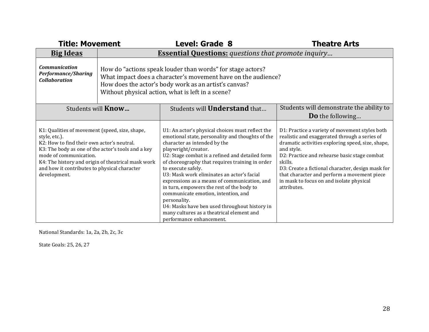| <b>Title: Movement</b>                                                                                                                                                                                                                                                                                              |                                                                                                                                                                                                                                           | <b>Level: Grade 8</b>                                                                                                                                                                                                                                                                                                                                                                                                                                                                                                                                                                                               | <b>Theatre Arts</b>                                                                                                                                                                                                                                                                                                                                                                          |
|---------------------------------------------------------------------------------------------------------------------------------------------------------------------------------------------------------------------------------------------------------------------------------------------------------------------|-------------------------------------------------------------------------------------------------------------------------------------------------------------------------------------------------------------------------------------------|---------------------------------------------------------------------------------------------------------------------------------------------------------------------------------------------------------------------------------------------------------------------------------------------------------------------------------------------------------------------------------------------------------------------------------------------------------------------------------------------------------------------------------------------------------------------------------------------------------------------|----------------------------------------------------------------------------------------------------------------------------------------------------------------------------------------------------------------------------------------------------------------------------------------------------------------------------------------------------------------------------------------------|
| <b>Big Ideas</b>                                                                                                                                                                                                                                                                                                    | <b>Essential Questions:</b> questions that promote inquiry                                                                                                                                                                                |                                                                                                                                                                                                                                                                                                                                                                                                                                                                                                                                                                                                                     |                                                                                                                                                                                                                                                                                                                                                                                              |
| <b>Communication</b><br><b>Performance/Sharing</b><br><b>Collaboration</b>                                                                                                                                                                                                                                          | How do "actions speak louder than words" for stage actors?<br>What impact does a character's movement have on the audience?<br>How does the actor's body work as an artist's canvas?<br>Without physical action, what is left in a scene? |                                                                                                                                                                                                                                                                                                                                                                                                                                                                                                                                                                                                                     |                                                                                                                                                                                                                                                                                                                                                                                              |
|                                                                                                                                                                                                                                                                                                                     | Students will <b>Know</b>                                                                                                                                                                                                                 | Students will <b>Understand</b> that                                                                                                                                                                                                                                                                                                                                                                                                                                                                                                                                                                                | Students will demonstrate the ability to                                                                                                                                                                                                                                                                                                                                                     |
|                                                                                                                                                                                                                                                                                                                     |                                                                                                                                                                                                                                           |                                                                                                                                                                                                                                                                                                                                                                                                                                                                                                                                                                                                                     | <b>Do</b> the following                                                                                                                                                                                                                                                                                                                                                                      |
| K1: Qualities of movement (speed, size, shape,<br>style, etc.).<br>K2: How to find their own actor's neutral.<br>K3: The body as one of the actor's tools and a key<br>mode of communication.<br>K4: The history and origin of theatrical mask work<br>and how it contributes to physical character<br>development. |                                                                                                                                                                                                                                           | U1: An actor's physical choices must reflect the<br>emotional state, personality and thoughts of the<br>character as intended by the<br>playwright/creator.<br>U2: Stage combat is a refined and detailed form<br>of choreography that requires training in order<br>to execute safely.<br>U3: Mask work eliminates an actor's facial<br>expressions as a means of communication, and<br>in turn, empowers the rest of the body to<br>communicate emotion, intention, and<br>personality.<br>U4: Masks have ben used throughout history in<br>many cultures as a theatrical element and<br>performance enhancement. | D1: Practice a variety of movement styles both<br>realistic and exaggerated through a series of<br>dramatic activities exploring speed, size, shape,<br>and style.<br>D2: Practice and rehearse basic stage combat<br>skills.<br>D3: Create a fictional character, design mask for<br>that character and perform a movement piece<br>in mask to focus on and isolate physical<br>attributes. |

National Standards: 1a, 2a, 2b, 2c, 3c

State Goals: 25, 26, 27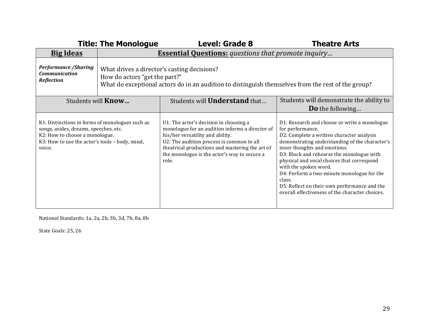|                                                                                                                                                                                        | <b>Title: The Monologue</b>                                                                                                                                                        | <b>Level: Grade 8</b>                                                                                                                                                                                                                                                                  | <b>Theatre Arts</b>                                                                                                                                                                                                                                                                                                                                                                                                                                                            |  |
|----------------------------------------------------------------------------------------------------------------------------------------------------------------------------------------|------------------------------------------------------------------------------------------------------------------------------------------------------------------------------------|----------------------------------------------------------------------------------------------------------------------------------------------------------------------------------------------------------------------------------------------------------------------------------------|--------------------------------------------------------------------------------------------------------------------------------------------------------------------------------------------------------------------------------------------------------------------------------------------------------------------------------------------------------------------------------------------------------------------------------------------------------------------------------|--|
| <b>Big Ideas</b>                                                                                                                                                                       | <b>Essential Questions:</b> questions that promote inquiry                                                                                                                         |                                                                                                                                                                                                                                                                                        |                                                                                                                                                                                                                                                                                                                                                                                                                                                                                |  |
| <b>Performance / Sharing</b><br><b>Communication</b><br><b>Reflection</b>                                                                                                              | What drives a director's casting decisions?<br>How do actors "get the part?"<br>What do exceptional actors do in an audition to distinguish themselves from the rest of the group? |                                                                                                                                                                                                                                                                                        |                                                                                                                                                                                                                                                                                                                                                                                                                                                                                |  |
| Students will <b>Know</b>                                                                                                                                                              |                                                                                                                                                                                    | Students will <b>Understand</b> that                                                                                                                                                                                                                                                   | Students will demonstrate the ability to<br><b>Do</b> the following                                                                                                                                                                                                                                                                                                                                                                                                            |  |
| K1: Distinctions in forms of monologues such as<br>songs, asides, dreams, speeches, etc.<br>K2: How to choose a monologue.<br>K3: How to use the actor's tools - body, mind,<br>voice. |                                                                                                                                                                                    | U1: The actor's decision in choosing a<br>monologue for an audition informs a director of<br>his/her versatility and ability.<br>U2: The audition process is common to all<br>theatrical productions and mastering the art of<br>the monologue is the actor's way to secure a<br>role. | D1: Research and choose or write a monologue<br>for performance.<br>D2: Complete a written character analysis<br>demonstrating understanding of the character's<br>inner thoughts and emotions.<br>D3: Block and rehearse the monologue with<br>physical and vocal choices that correspond<br>with the spoken word.<br>D4: Perform a two-minute monologue for the<br>class.<br>D5: Reflect on their own performance and the<br>overall effectiveness of the character choices. |  |

National Standards: 1a, 2a, 2b, 3b, 3d, 7b, 8a, 8b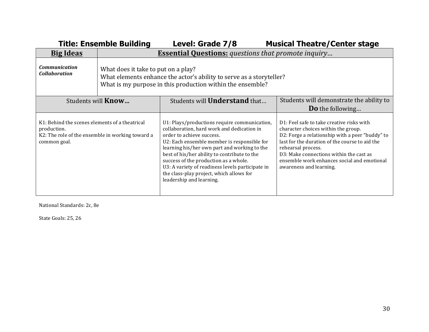| <b>Title: Ensemble Building</b>                                                                                                   |                                                                                                                                                                           | Level: Grade 7/8                                                                                                                                                                                                                                                                                                                                                                                                                            | <b>Musical Theatre/Center stage</b>                                                                                                                                                                                                                                                                                              |
|-----------------------------------------------------------------------------------------------------------------------------------|---------------------------------------------------------------------------------------------------------------------------------------------------------------------------|---------------------------------------------------------------------------------------------------------------------------------------------------------------------------------------------------------------------------------------------------------------------------------------------------------------------------------------------------------------------------------------------------------------------------------------------|----------------------------------------------------------------------------------------------------------------------------------------------------------------------------------------------------------------------------------------------------------------------------------------------------------------------------------|
| <b>Big Ideas</b>                                                                                                                  | <b>Essential Questions:</b> questions that promote inquiry                                                                                                                |                                                                                                                                                                                                                                                                                                                                                                                                                                             |                                                                                                                                                                                                                                                                                                                                  |
| <b>Communication</b><br><b>Collaboration</b>                                                                                      | What does it take to put on a play?<br>What elements enhance the actor's ability to serve as a storyteller?<br>What is my purpose in this production within the ensemble? |                                                                                                                                                                                                                                                                                                                                                                                                                                             |                                                                                                                                                                                                                                                                                                                                  |
| Students will <b>Know</b>                                                                                                         |                                                                                                                                                                           | Students will <b>Understand</b> that                                                                                                                                                                                                                                                                                                                                                                                                        | Students will demonstrate the ability to                                                                                                                                                                                                                                                                                         |
|                                                                                                                                   |                                                                                                                                                                           |                                                                                                                                                                                                                                                                                                                                                                                                                                             | <b>Do</b> the following                                                                                                                                                                                                                                                                                                          |
| K1: Behind the scenes elements of a theatrical<br>production.<br>K2: The role of the ensemble in working toward a<br>common goal. |                                                                                                                                                                           | U1: Plays/productions require communication,<br>collaboration, hard work and dedication in<br>order to achieve success.<br>U2: Each ensemble member is responsible for<br>learning his/her own part and working to the<br>best of his/her ability to contribute to the<br>success of the production as a whole.<br>U3: A variety of readiness levels participate in<br>the class-play project, which allows for<br>leadership and learning. | D1: Feel safe to take creative risks with<br>character choices within the group.<br>D2: Forge a relationship with a peer "buddy" to<br>last for the duration of the course to aid the<br>rehearsal process.<br>D3: Make connections within the cast as<br>ensemble work enhances social and emotional<br>awareness and learning. |

National Standards: 2c, 8e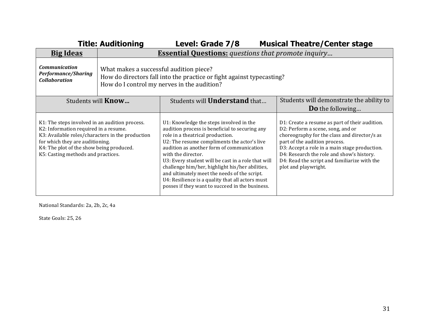|                                                                                                                                                                                                                                                                  | <b>Title: Auditioning</b>                                                                                                                                       | Level: Grade 7/8                                                                                                                                                                                                                                                                                                                                                                                                                                                                                                | <b>Musical Theatre/Center stage</b>                                                                                                                                                                                                                                                                                                        |  |  |  |
|------------------------------------------------------------------------------------------------------------------------------------------------------------------------------------------------------------------------------------------------------------------|-----------------------------------------------------------------------------------------------------------------------------------------------------------------|-----------------------------------------------------------------------------------------------------------------------------------------------------------------------------------------------------------------------------------------------------------------------------------------------------------------------------------------------------------------------------------------------------------------------------------------------------------------------------------------------------------------|--------------------------------------------------------------------------------------------------------------------------------------------------------------------------------------------------------------------------------------------------------------------------------------------------------------------------------------------|--|--|--|
| <b>Big Ideas</b>                                                                                                                                                                                                                                                 |                                                                                                                                                                 | <b>Essential Questions:</b> questions that promote inquiry                                                                                                                                                                                                                                                                                                                                                                                                                                                      |                                                                                                                                                                                                                                                                                                                                            |  |  |  |
| <b>Communication</b><br><b>Performance/Sharing</b><br><b>Collaboration</b>                                                                                                                                                                                       | What makes a successful audition piece?<br>How do directors fall into the practice or fight against typecasting?<br>How do I control my nerves in the audition? |                                                                                                                                                                                                                                                                                                                                                                                                                                                                                                                 |                                                                                                                                                                                                                                                                                                                                            |  |  |  |
| Students will <b>Know</b>                                                                                                                                                                                                                                        |                                                                                                                                                                 | Students will <b>Understand</b> that                                                                                                                                                                                                                                                                                                                                                                                                                                                                            | Students will demonstrate the ability to                                                                                                                                                                                                                                                                                                   |  |  |  |
|                                                                                                                                                                                                                                                                  |                                                                                                                                                                 |                                                                                                                                                                                                                                                                                                                                                                                                                                                                                                                 | <b>Do</b> the following                                                                                                                                                                                                                                                                                                                    |  |  |  |
| K1: The steps involved in an audition process.<br>K2: Information required in a resume.<br>K3: Available roles/characters in the production<br>for which they are auditioning.<br>K4: The plot of the show being produced.<br>K5: Casting methods and practices. |                                                                                                                                                                 | U1: Knowledge the steps involved in the<br>audition process is beneficial to securing any<br>role in a theatrical production.<br>U2: The resume compliments the actor's live<br>audition as another form of communication<br>with the director.<br>U3: Every student will be cast in a role that will<br>challenge him/her, highlight his/her abilities,<br>and ultimately meet the needs of the script.<br>U4: Resilience is a quality that all actors must<br>posses if they want to succeed in the business. | D1: Create a resume as part of their audition.<br>D2: Perform a scene, song, and or<br>choreography for the class and director/s as<br>part of the audition process.<br>D3: Accept a role in a main stage production.<br>D4: Research the role and show's history.<br>D4: Read the script and familiarize with the<br>plot and playwright. |  |  |  |

National Standards: 2a, 2b, 2c, 4a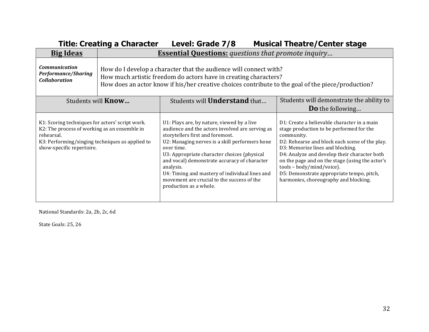|                                                                                                                                                                                               | <b>Title: Creating a Character</b>                                                                                                                                                                                                          | Level: Grade 7/8                                                                                                                                                                                                                                                                                                                                                                                                                        | <b>Musical Theatre/Center stage</b>                                                                                                                                                                                                                                                                                                                                                                               |  |  |
|-----------------------------------------------------------------------------------------------------------------------------------------------------------------------------------------------|---------------------------------------------------------------------------------------------------------------------------------------------------------------------------------------------------------------------------------------------|-----------------------------------------------------------------------------------------------------------------------------------------------------------------------------------------------------------------------------------------------------------------------------------------------------------------------------------------------------------------------------------------------------------------------------------------|-------------------------------------------------------------------------------------------------------------------------------------------------------------------------------------------------------------------------------------------------------------------------------------------------------------------------------------------------------------------------------------------------------------------|--|--|
| <b>Big Ideas</b>                                                                                                                                                                              | <b>Essential Questions:</b> questions that promote inquiry                                                                                                                                                                                  |                                                                                                                                                                                                                                                                                                                                                                                                                                         |                                                                                                                                                                                                                                                                                                                                                                                                                   |  |  |
| <b>Communication</b><br>Performance/Sharing<br><b>Collaboration</b>                                                                                                                           | How do I develop a character that the audience will connect with?<br>How much artistic freedom do actors have in creating characters?<br>How does an actor know if his/her creative choices contribute to the goal of the piece/production? |                                                                                                                                                                                                                                                                                                                                                                                                                                         |                                                                                                                                                                                                                                                                                                                                                                                                                   |  |  |
| Students will <b>Know</b>                                                                                                                                                                     |                                                                                                                                                                                                                                             | Students will <b>Understand</b> that                                                                                                                                                                                                                                                                                                                                                                                                    | Students will demonstrate the ability to                                                                                                                                                                                                                                                                                                                                                                          |  |  |
|                                                                                                                                                                                               |                                                                                                                                                                                                                                             |                                                                                                                                                                                                                                                                                                                                                                                                                                         | <b>Do</b> the following                                                                                                                                                                                                                                                                                                                                                                                           |  |  |
| K1: Scoring techniques for actors' script work.<br>K2: The process of working as an ensemble in<br>rehearsal.<br>K3: Performing/singing techniques as applied to<br>show-specific repertoire. |                                                                                                                                                                                                                                             | U1: Plays are, by nature, viewed by a live<br>audience and the actors involved are serving as<br>storytellers first and foremost.<br>U2: Managing nerves is a skill performers hone<br>over time.<br>U3: Appropriate character choices (physical<br>and vocal) demonstrate accuracy of character<br>analysis.<br>U4: Timing and mastery of individual lines and<br>movement are crucial to the success of the<br>production as a whole. | D1: Create a believable character in a main<br>stage production to be performed for the<br>community.<br>D2: Rehearse and block each scene of the play.<br>D3: Memorize lines and blocking.<br>D4: Analyze and develop their character both<br>on the page and on the stage (using the actor's<br>tools - body/mind/voice).<br>D5: Demonstrate appropriate tempo, pitch,<br>harmonies, choreography and blocking. |  |  |

National Standards: 2a, 2b, 2c, 6d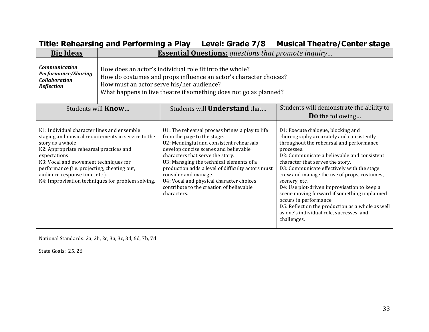| <b>Big Ideas</b>                                                                                                                                                                                                                                                                                                                                                  | <b>Essential Questions:</b> questions that promote inquiry                                                                                                                                                                                     |                                                                                                                                                                                                                                                                                                                                                                                                                                         |                                                                                                                                                                                                                                                                                                                                                                                                                                                                                                                                                                                  |  |
|-------------------------------------------------------------------------------------------------------------------------------------------------------------------------------------------------------------------------------------------------------------------------------------------------------------------------------------------------------------------|------------------------------------------------------------------------------------------------------------------------------------------------------------------------------------------------------------------------------------------------|-----------------------------------------------------------------------------------------------------------------------------------------------------------------------------------------------------------------------------------------------------------------------------------------------------------------------------------------------------------------------------------------------------------------------------------------|----------------------------------------------------------------------------------------------------------------------------------------------------------------------------------------------------------------------------------------------------------------------------------------------------------------------------------------------------------------------------------------------------------------------------------------------------------------------------------------------------------------------------------------------------------------------------------|--|
| <b>Communication</b><br><b>Performance/Sharing</b><br><b>Collaboration</b><br><b>Reflection</b>                                                                                                                                                                                                                                                                   | How does an actor's individual role fit into the whole?<br>How do costumes and props influence an actor's character choices?<br>How must an actor serve his/her audience?<br>What happens in live theatre if something does not go as planned? |                                                                                                                                                                                                                                                                                                                                                                                                                                         |                                                                                                                                                                                                                                                                                                                                                                                                                                                                                                                                                                                  |  |
| Students will <b>Know</b>                                                                                                                                                                                                                                                                                                                                         |                                                                                                                                                                                                                                                | Students will <b>Understand</b> that                                                                                                                                                                                                                                                                                                                                                                                                    | Students will demonstrate the ability to<br><b>Do</b> the following                                                                                                                                                                                                                                                                                                                                                                                                                                                                                                              |  |
| K1: Individual character lines and ensemble<br>staging and musical requirements in service to the<br>story as a whole.<br>K2: Appropriate rehearsal practices and<br>expectations.<br>K3: Vocal and movement techniques for<br>performance (i.e. projecting, cheating out,<br>audience response time, etc.).<br>K4: Improvisation techniques for problem solving. |                                                                                                                                                                                                                                                | U1: The rehearsal process brings a play to life<br>from the page to the stage.<br>U2: Meaningful and consistent rehearsals<br>develop concise scenes and believable<br>characters that serve the story.<br>U3: Managing the technical elements of a<br>production adds a level of difficulty actors must<br>consider and manage.<br>U4: Vocal and physical character choices<br>contribute to the creation of believable<br>characters. | D1: Execute dialogue, blocking and<br>choreography accurately and consistently<br>throughout the rehearsal and performance<br>processes.<br>D2: Communicate a believable and consistent<br>character that serves the story.<br>D3: Communicate effectively with the stage<br>crew and manage the use of props, costumes,<br>scenery, etc.<br>D4: Use plot-driven improvisation to keep a<br>scene moving forward if something unplanned<br>occurs in performance.<br>D5: Reflect on the production as a whole as well<br>as one's individual role, successes, and<br>challenges. |  |

## **Title: Rehearsing and Performing a Play Level: Grade 7/8 Musical Theatre/Center stage**

National Standards: 2a, 2b, 2c, 3a, 3c, 3d, 6d, 7b, 7d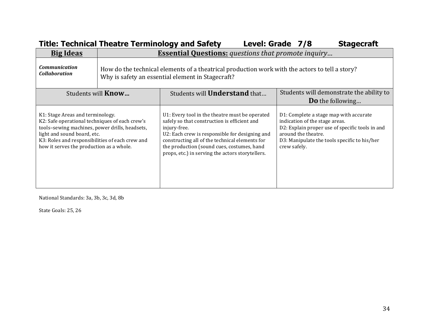|                                                                                                                                                                                                                                                                    | <b>Title: Technical Theatre Terminology and Safety</b>                                                                                              |                                                                                                                                                                                                                                                                                                                      | Level: Grade 7/8 |              |                     | <b>Stagecraft</b>                                                                                                                                                           |
|--------------------------------------------------------------------------------------------------------------------------------------------------------------------------------------------------------------------------------------------------------------------|-----------------------------------------------------------------------------------------------------------------------------------------------------|----------------------------------------------------------------------------------------------------------------------------------------------------------------------------------------------------------------------------------------------------------------------------------------------------------------------|------------------|--------------|---------------------|-----------------------------------------------------------------------------------------------------------------------------------------------------------------------------|
| <b>Big Ideas</b>                                                                                                                                                                                                                                                   | <b>Essential Questions:</b> questions that promote inquiry                                                                                          |                                                                                                                                                                                                                                                                                                                      |                  |              |                     |                                                                                                                                                                             |
| <b>Communication</b><br><b>Collaboration</b>                                                                                                                                                                                                                       | How do the technical elements of a theatrical production work with the actors to tell a story?<br>Why is safety an essential element in Stagecraft? |                                                                                                                                                                                                                                                                                                                      |                  |              |                     |                                                                                                                                                                             |
| Students will <b>Know</b>                                                                                                                                                                                                                                          |                                                                                                                                                     | Students will <b>Understand</b> that                                                                                                                                                                                                                                                                                 |                  |              |                     | Students will demonstrate the ability to<br><b>Do</b> the following                                                                                                         |
| K1: Stage Areas and terminology.<br>K2: Safe operational techniques of each crew's<br>tools-sewing machines, power drills, headsets,<br>light and sound board, etc.<br>K3: Roles and responsibilities of each crew and<br>how it serves the production as a whole. |                                                                                                                                                     | U1: Every tool in the theatre must be operated<br>safely so that construction is efficient and<br>injury-free.<br>U2: Each crew is responsible for designing and<br>constructing all of the technical elements for<br>the production (sound cues, costumes, hand<br>props, etc.) in serving the actors storytellers. |                  | crew safely. | around the theatre. | D1: Complete a stage map with accurate<br>indication of the stage areas.<br>D2: Explain proper use of specific tools in and<br>D3: Manipulate the tools specific to his/her |

National Standards: 3a, 3b, 3c, 3d, 8b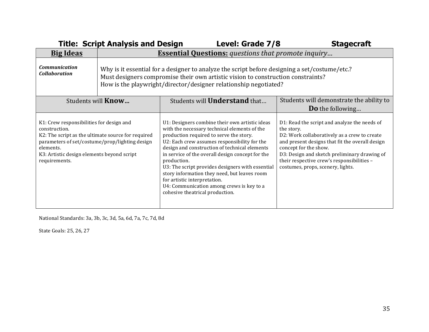|                                                                                                                                                                                                                                               | <b>Title: Script Analysis and Design</b>                                                                                                                                                                                                              | Level: Grade 7/8                                                                                                                                                                                                                                                                                                                                                                                                                                                                                                                  | <b>Stagecraft</b>                                                                                                                                                                                                                                                                                                         |  |  |
|-----------------------------------------------------------------------------------------------------------------------------------------------------------------------------------------------------------------------------------------------|-------------------------------------------------------------------------------------------------------------------------------------------------------------------------------------------------------------------------------------------------------|-----------------------------------------------------------------------------------------------------------------------------------------------------------------------------------------------------------------------------------------------------------------------------------------------------------------------------------------------------------------------------------------------------------------------------------------------------------------------------------------------------------------------------------|---------------------------------------------------------------------------------------------------------------------------------------------------------------------------------------------------------------------------------------------------------------------------------------------------------------------------|--|--|
| <b>Big Ideas</b>                                                                                                                                                                                                                              | <b>Essential Questions:</b> questions that promote inquiry                                                                                                                                                                                            |                                                                                                                                                                                                                                                                                                                                                                                                                                                                                                                                   |                                                                                                                                                                                                                                                                                                                           |  |  |
| <b>Communication</b><br><b>Collaboration</b>                                                                                                                                                                                                  | Why is it essential for a designer to analyze the script before designing a set/costume/etc.?<br>Must designers compromise their own artistic vision to construction constraints?<br>How is the playwright/director/designer relationship negotiated? |                                                                                                                                                                                                                                                                                                                                                                                                                                                                                                                                   |                                                                                                                                                                                                                                                                                                                           |  |  |
| Students will <b>Know</b>                                                                                                                                                                                                                     |                                                                                                                                                                                                                                                       | Students will <b>Understand</b> that                                                                                                                                                                                                                                                                                                                                                                                                                                                                                              | Students will demonstrate the ability to                                                                                                                                                                                                                                                                                  |  |  |
|                                                                                                                                                                                                                                               |                                                                                                                                                                                                                                                       |                                                                                                                                                                                                                                                                                                                                                                                                                                                                                                                                   | <b>Do</b> the following                                                                                                                                                                                                                                                                                                   |  |  |
| K1: Crew responsibilities for design and<br>construction.<br>K2: The script as the ultimate source for required<br>parameters of set/costume/prop/lighting design<br>elements.<br>K3: Artistic design elements beyond script<br>requirements. |                                                                                                                                                                                                                                                       | U1: Designers combine their own artistic ideas<br>with the necessary technical elements of the<br>production required to serve the story.<br>U2: Each crew assumes responsibility for the<br>design and construction of technical elements<br>in service of the overall design concept for the<br>production.<br>U3: The script provides designers with essential<br>story information they need, but leaves room<br>for artistic interpretation.<br>U4: Communication among crews is key to a<br>cohesive theatrical production. | D1: Read the script and analyze the needs of<br>the story.<br>D2: Work collaboratively as a crew to create<br>and present designs that fit the overall design<br>concept for the show.<br>D3: Design and sketch preliminary drawing of<br>their respective crew's responsibilities -<br>costumes, props, scenery, lights. |  |  |

National Standards: 3a, 3b, 3c, 3d, 5a, 6d, 7a, 7c, 7d, 8d

State Goals: 25, 26, 27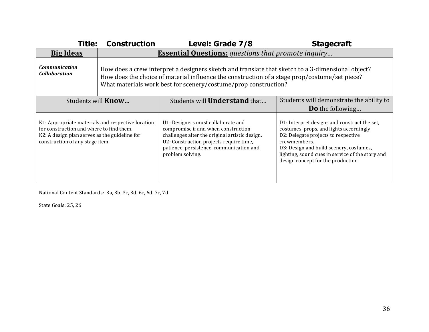| <b>Construction</b><br><b>Title:</b>                                                                                                                                              |                                                            | Level: Grade 7/8                                                                                                                                                                                                                                                      | <b>Stagecraft</b>                                                                                                                                                                                                                                                                    |  |  |
|-----------------------------------------------------------------------------------------------------------------------------------------------------------------------------------|------------------------------------------------------------|-----------------------------------------------------------------------------------------------------------------------------------------------------------------------------------------------------------------------------------------------------------------------|--------------------------------------------------------------------------------------------------------------------------------------------------------------------------------------------------------------------------------------------------------------------------------------|--|--|
| <b>Big Ideas</b>                                                                                                                                                                  | <b>Essential Questions:</b> questions that promote inquiry |                                                                                                                                                                                                                                                                       |                                                                                                                                                                                                                                                                                      |  |  |
| <b>Communication</b><br><b>Collaboration</b>                                                                                                                                      |                                                            | How does a crew interpret a designers sketch and translate that sketch to a 3-dimensional object?<br>How does the choice of material influence the construction of a stage prop/costume/set piece?<br>What materials work best for scenery/costume/prop construction? |                                                                                                                                                                                                                                                                                      |  |  |
| Students will <b>Know</b>                                                                                                                                                         |                                                            | Students will <b>Understand</b> that                                                                                                                                                                                                                                  | Students will demonstrate the ability to                                                                                                                                                                                                                                             |  |  |
|                                                                                                                                                                                   |                                                            |                                                                                                                                                                                                                                                                       | <b>Do</b> the following                                                                                                                                                                                                                                                              |  |  |
| K1: Appropriate materials and respective location<br>for construction and where to find them.<br>K2: A design plan serves as the guideline for<br>construction of any stage item. |                                                            | U1: Designers must collaborate and<br>compromise if and when construction<br>challenges alter the original artistic design.<br>U2: Construction projects require time,<br>patience, persistence, communication and<br>problem solving.                                | D1: Interpret designs and construct the set,<br>costumes, props, and lights accordingly.<br>D2: Delegate projects to respective<br>crewmembers.<br>D3: Design and build scenery, costumes,<br>lighting, sound cues in service of the story and<br>design concept for the production. |  |  |

National Content Standards: 3a, 3b, 3c, 3d, 6c, 6d, 7c, 7d